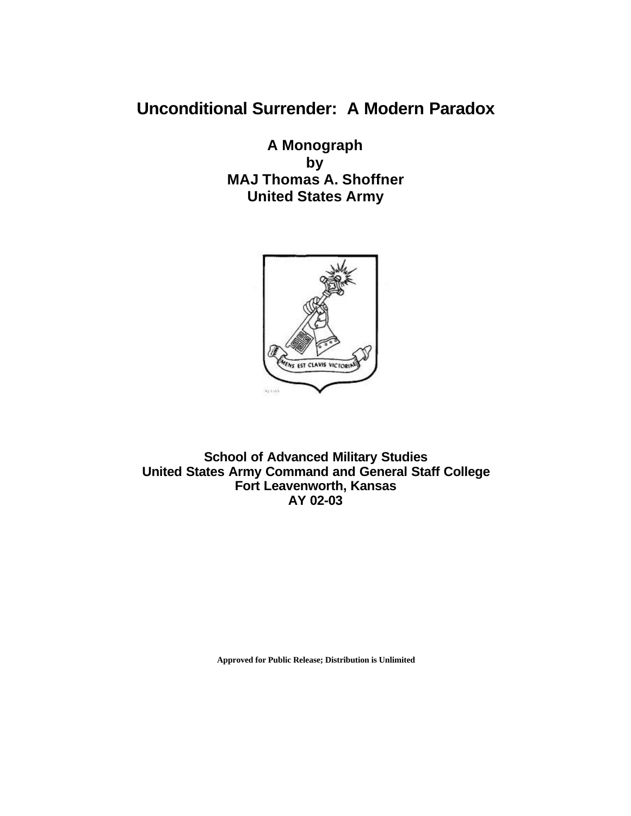# **Unconditional Surrender: A Modern Paradox**

**A Monograph by MAJ Thomas A. Shoffner United States Army**



**School of Advanced Military Studies United States Army Command and General Staff College Fort Leavenworth, Kansas AY 02-03**

**Approved for Public Release; Distribution is Unlimited**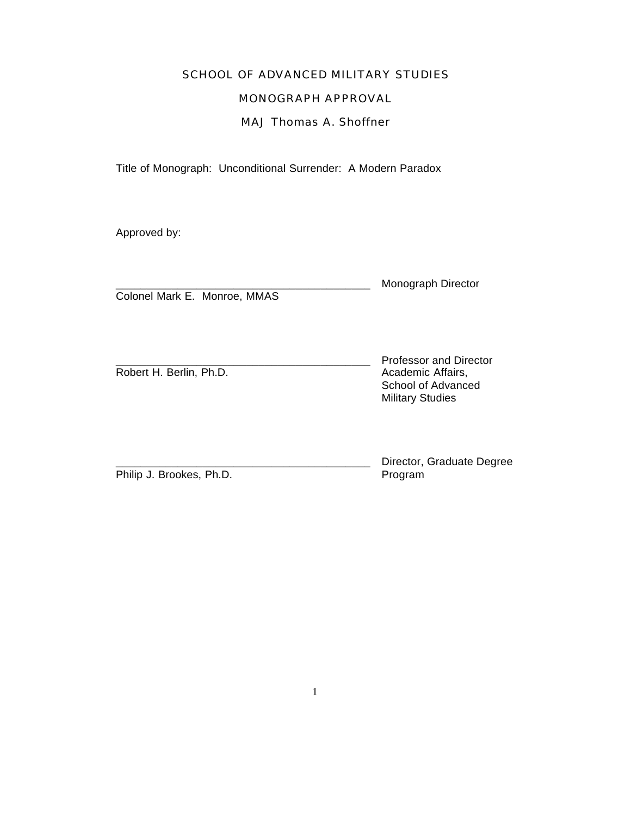# SCHOOL OF ADVANCED MILITARY STUDIES

# MONOGRAPH APPROVAL

# MAJ Thomas A. Shoffner

Title of Monograph: Unconditional Surrender: A Modern Paradox

Approved by:

Colonel Mark E. Monroe, MMAS

Monograph Director

Robert H. Berlin, Ph.D. **Academic Affairs**,

\_\_\_\_\_\_\_\_\_\_\_\_\_\_\_\_\_\_\_\_\_\_\_\_\_\_\_\_\_\_\_\_\_\_\_\_\_\_\_\_\_ Professor and Director School of Advanced Military Studies

Philip J. Brookes, Ph.D. Philip J. Brookes, Ph.D.

Director, Graduate Degree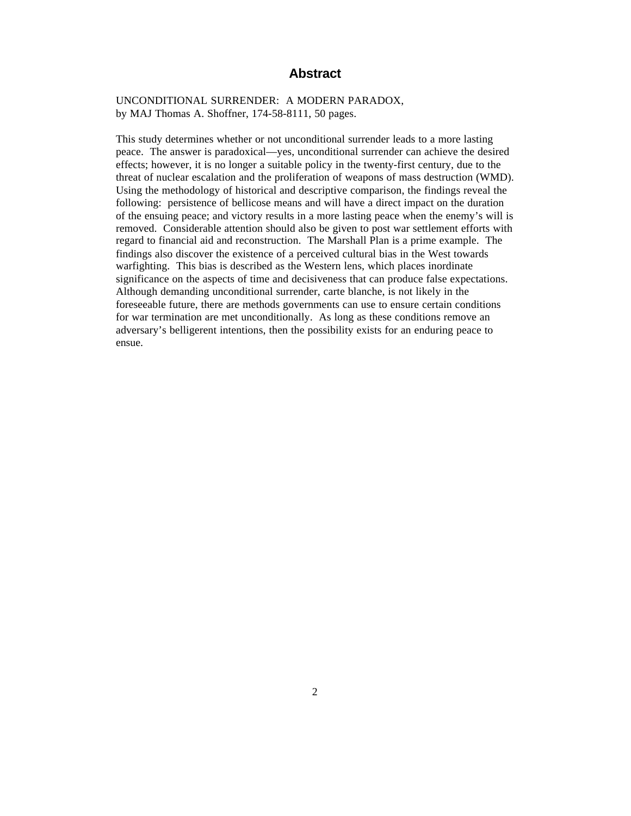## **Abstract**

UNCONDITIONAL SURRENDER: A MODERN PARADOX, by MAJ Thomas A. Shoffner, 174-58-8111, 50 pages.

This study determines whether or not unconditional surrender leads to a more lasting peace. The answer is paradoxical—yes, unconditional surrender can achieve the desired effects; however, it is no longer a suitable policy in the twenty-first century, due to the threat of nuclear escalation and the proliferation of weapons of mass destruction (WMD). Using the methodology of historical and descriptive comparison, the findings reveal the following: persistence of bellicose means and will have a direct impact on the duration of the ensuing peace; and victory results in a more lasting peace when the enemy's will is removed. Considerable attention should also be given to post war settlement efforts with regard to financial aid and reconstruction. The Marshall Plan is a prime example. The findings also discover the existence of a perceived cultural bias in the West towards warfighting. This bias is described as the Western lens, which places inordinate significance on the aspects of time and decisiveness that can produce false expectations. Although demanding unconditional surrender, carte blanche, is not likely in the foreseeable future, there are methods governments can use to ensure certain conditions for war termination are met unconditionally. As long as these conditions remove an adversary's belligerent intentions, then the possibility exists for an enduring peace to ensue.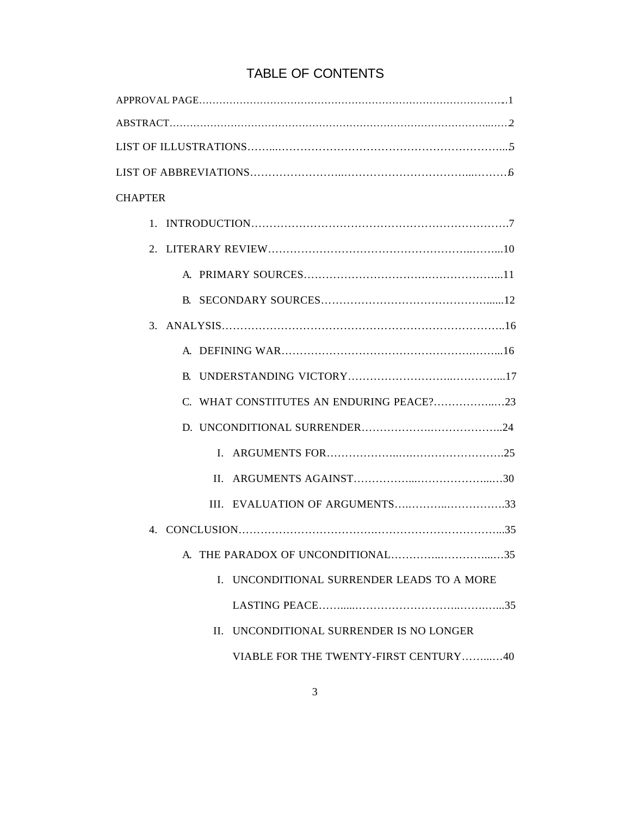| <b>CHAPTER</b>                             |
|--------------------------------------------|
|                                            |
|                                            |
|                                            |
|                                            |
|                                            |
|                                            |
|                                            |
|                                            |
|                                            |
|                                            |
| $\mathbf{H}$                               |
| III. EVALUATION OF ARGUMENTS33             |
|                                            |
| 35                                         |
| I. UNCONDITIONAL SURRENDER LEADS TO A MORE |
|                                            |
| II. UNCONDITIONAL SURRENDER IS NO LONGER   |
| VIABLE FOR THE TWENTY-FIRST CENTURY40      |

# TABLE OF CONTENTS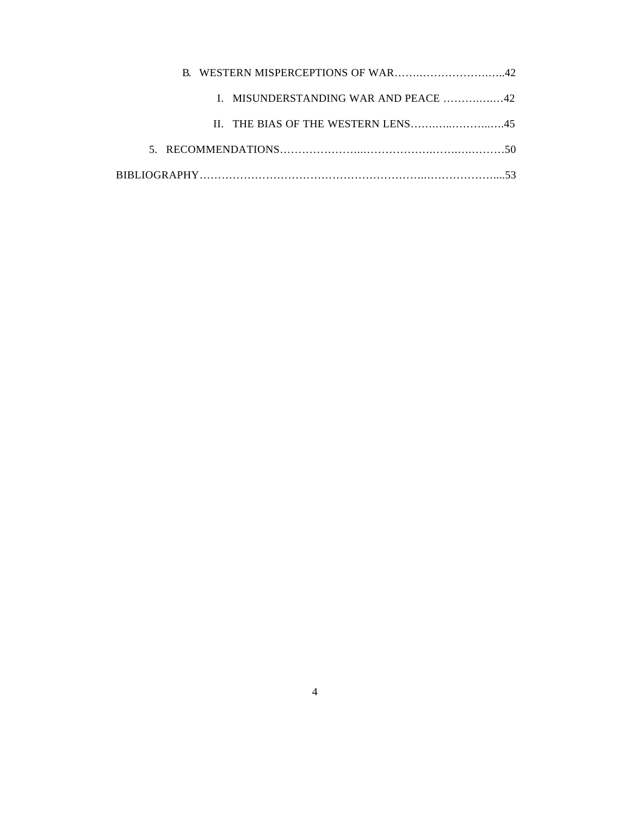| I. MISUNDERSTANDING WAR AND PEACE 42 |  |
|--------------------------------------|--|
|                                      |  |
|                                      |  |
|                                      |  |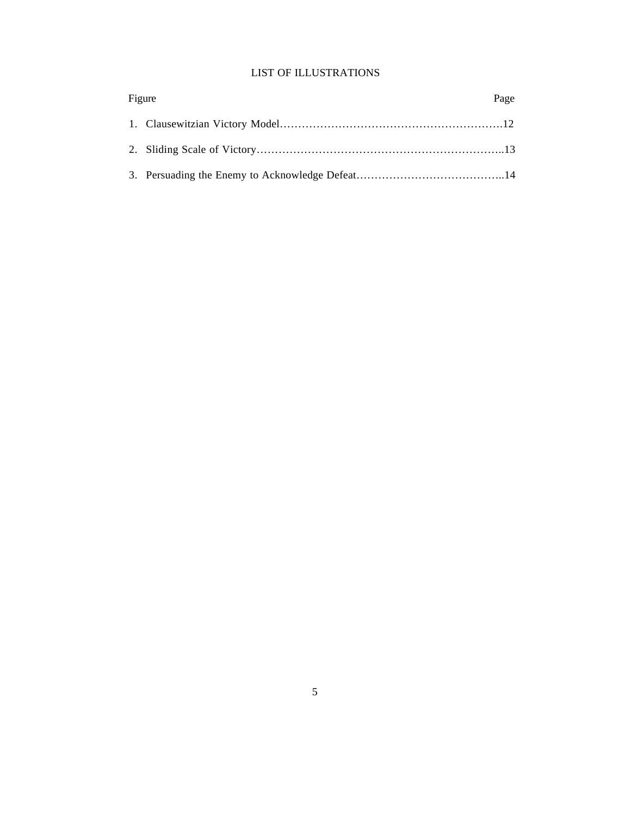## LIST OF ILLUSTRATIONS

| Figure |  | Page |
|--------|--|------|
|        |  |      |
|        |  |      |
|        |  |      |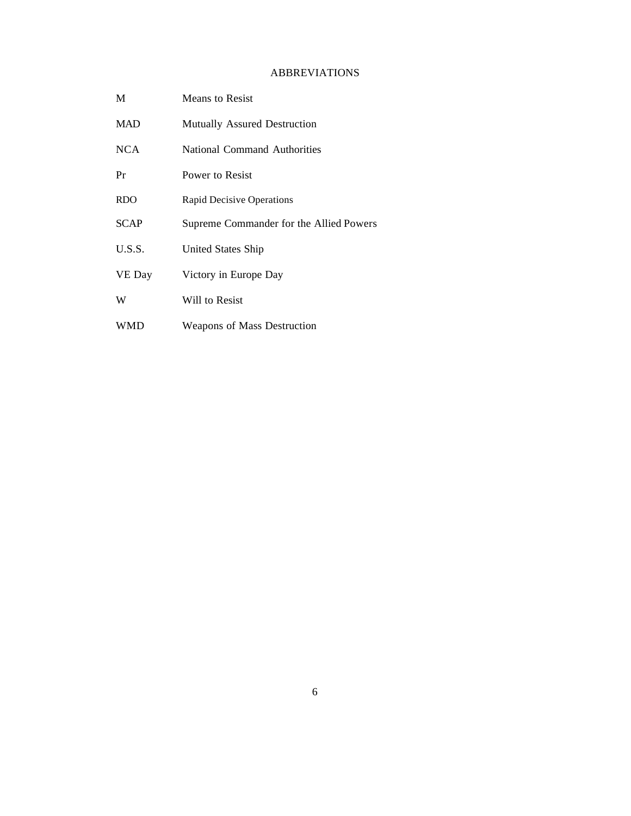## ABBREVIATIONS

| M           | Means to Resist                         |
|-------------|-----------------------------------------|
| <b>MAD</b>  | Mutually Assured Destruction            |
| <b>NCA</b>  | National Command Authorities            |
| Pr          | Power to Resist                         |
| <b>RDO</b>  | <b>Rapid Decisive Operations</b>        |
| <b>SCAP</b> | Supreme Commander for the Allied Powers |
| U.S.S.      | United States Ship                      |
| VE Day      | Victory in Europe Day                   |
| W           | Will to Resist                          |
| WMD         | <b>Weapons of Mass Destruction</b>      |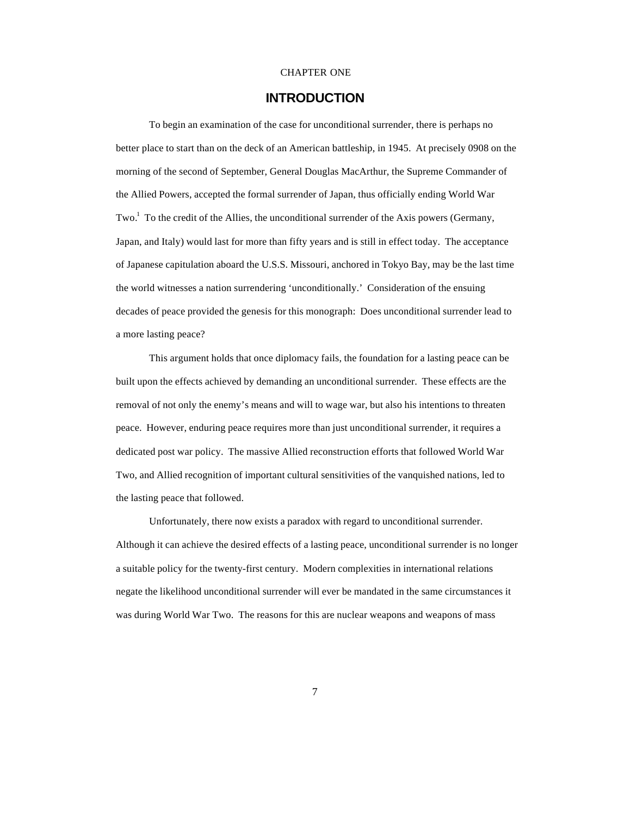#### CHAPTER ONE

# **INTRODUCTION**

To begin an examination of the case for unconditional surrender, there is perhaps no better place to start than on the deck of an American battleship, in 1945. At precisely 0908 on the morning of the second of September, General Douglas MacArthur, the Supreme Commander of the Allied Powers, accepted the formal surrender of Japan, thus officially ending World War Two.<sup>1</sup> To the credit of the Allies, the unconditional surrender of the Axis powers (Germany, Japan, and Italy) would last for more than fifty years and is still in effect today. The acceptance of Japanese capitulation aboard the U.S.S. Missouri, anchored in Tokyo Bay, may be the last time the world witnesses a nation surrendering 'unconditionally.' Consideration of the ensuing decades of peace provided the genesis for this monograph: Does unconditional surrender lead to a more lasting peace?

This argument holds that once diplomacy fails, the foundation for a lasting peace can be built upon the effects achieved by demanding an unconditional surrender. These effects are the removal of not only the enemy's means and will to wage war, but also his intentions to threaten peace. However, enduring peace requires more than just unconditional surrender, it requires a dedicated post war policy. The massive Allied reconstruction efforts that followed World War Two, and Allied recognition of important cultural sensitivities of the vanquished nations, led to the lasting peace that followed.

Unfortunately, there now exists a paradox with regard to unconditional surrender. Although it can achieve the desired effects of a lasting peace, unconditional surrender is no longer a suitable policy for the twenty-first century. Modern complexities in international relations negate the likelihood unconditional surrender will ever be mandated in the same circumstances it was during World War Two. The reasons for this are nuclear weapons and weapons of mass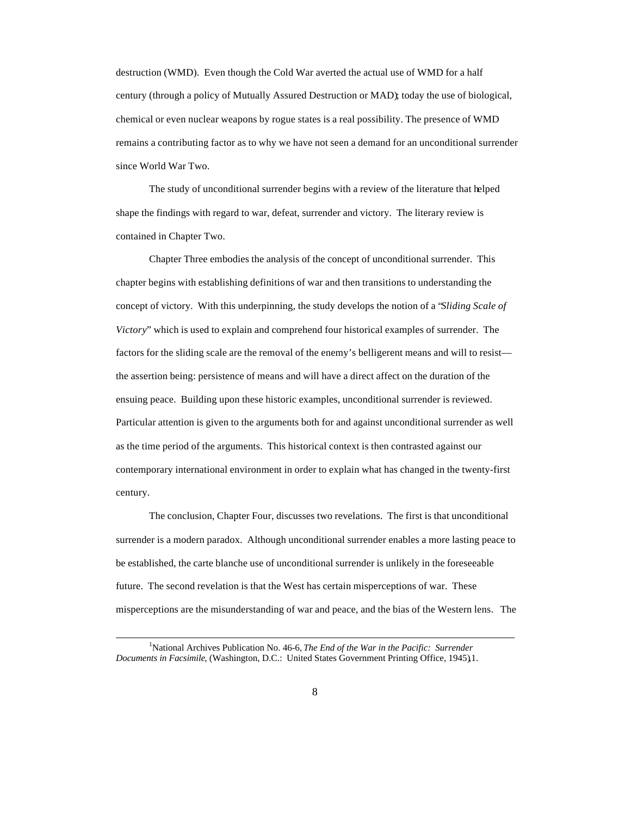destruction (WMD). Even though the Cold War averted the actual use of WMD for a half century (through a policy of Mutually Assured Destruction or MAD); today the use of biological, chemical or even nuclear weapons by rogue states is a real possibility. The presence of WMD remains a contributing factor as to why we have not seen a demand for an unconditional surrender since World War Two.

The study of unconditional surrender begins with a review of the literature that helped shape the findings with regard to war, defeat, surrender and victory. The literary review is contained in Chapter Two.

Chapter Three embodies the analysis of the concept of unconditional surrender. This chapter begins with establishing definitions of war and then transitions to understanding the concept of victory. With this underpinning, the study develops the notion of a "*Sliding Scale of Victory*" which is used to explain and comprehend four historical examples of surrender. The factors for the sliding scale are the removal of the enemy's belligerent means and will to resist the assertion being: persistence of means and will have a direct affect on the duration of the ensuing peace. Building upon these historic examples, unconditional surrender is reviewed. Particular attention is given to the arguments both for and against unconditional surrender as well as the time period of the arguments. This historical context is then contrasted against our contemporary international environment in order to explain what has changed in the twenty-first century.

The conclusion, Chapter Four, discusses two revelations. The first is that unconditional surrender is a modern paradox. Although unconditional surrender enables a more lasting peace to be established, the carte blanche use of unconditional surrender is unlikely in the foreseeable future. The second revelation is that the West has certain misperceptions of war. These misperceptions are the misunderstanding of war and peace, and the bias of the Western lens. The

<sup>1</sup>National Archives Publication No. 46-6, *The End of the War in the Pacific: Surrender Documents in Facsimile*, (Washington, D.C.: United States Government Printing Office, 1945),1.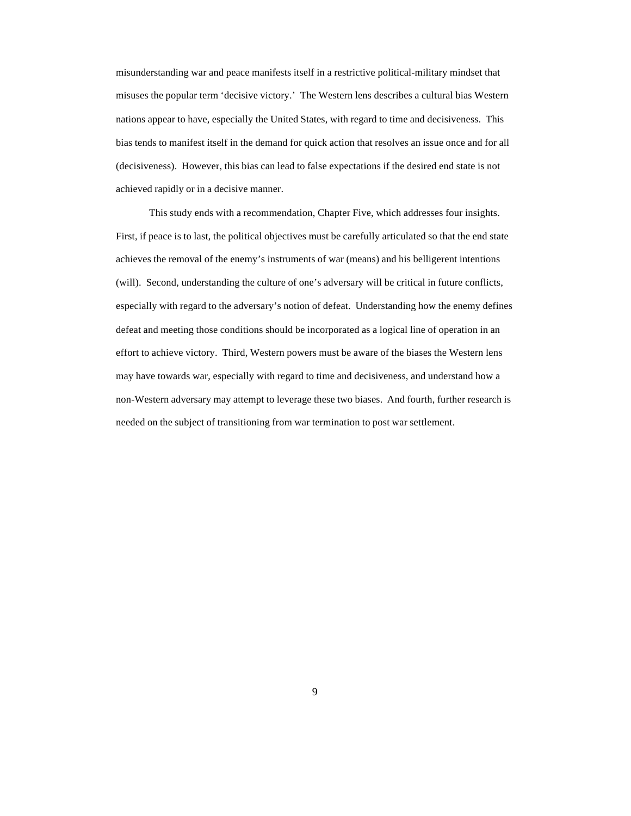misunderstanding war and peace manifests itself in a restrictive political-military mindset that misuses the popular term 'decisive victory.' The Western lens describes a cultural bias Western nations appear to have, especially the United States, with regard to time and decisiveness. This bias tends to manifest itself in the demand for quick action that resolves an issue once and for all (decisiveness). However, this bias can lead to false expectations if the desired end state is not achieved rapidly or in a decisive manner.

This study ends with a recommendation, Chapter Five, which addresses four insights. First, if peace is to last, the political objectives must be carefully articulated so that the end state achieves the removal of the enemy's instruments of war (means) and his belligerent intentions (will). Second, understanding the culture of one's adversary will be critical in future conflicts, especially with regard to the adversary's notion of defeat. Understanding how the enemy defines defeat and meeting those conditions should be incorporated as a logical line of operation in an effort to achieve victory. Third, Western powers must be aware of the biases the Western lens may have towards war, especially with regard to time and decisiveness, and understand how a non-Western adversary may attempt to leverage these two biases. And fourth, further research is needed on the subject of transitioning from war termination to post war settlement.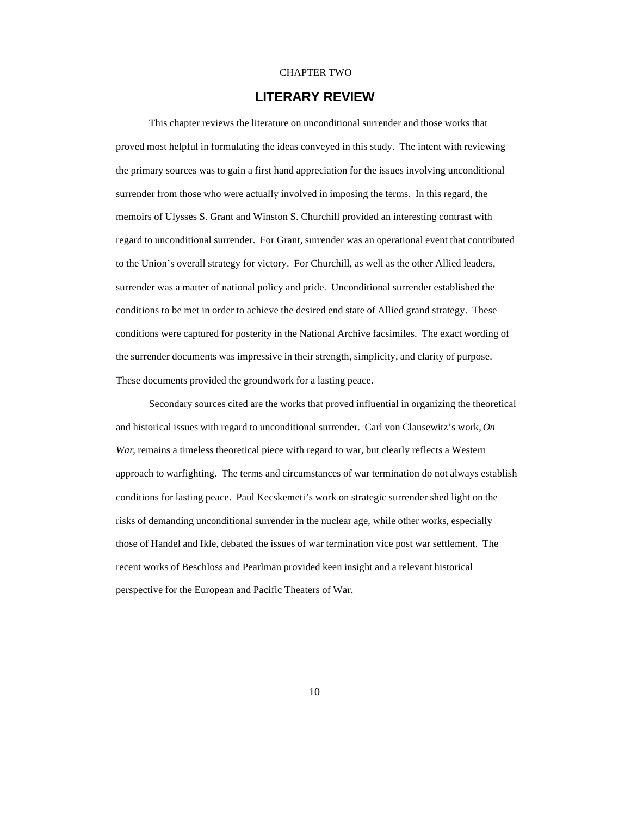#### CHAPTER TWO

# **LITERARY REVIEW**

This chapter reviews the literature on unconditional surrender and those works that proved most helpful in formulating the ideas conveyed in this study. The intent with reviewing the primary sources was to gain a first hand appreciation for the issues involving unconditional surrender from those who were actually involved in imposing the terms. In this regard, the memoirs of Ulysses S. Grant and Winston S. Churchill provided an interesting contrast with regard to unconditional surrender. For Grant, surrender was an operational event that contributed to the Union's overall strategy for victory. For Churchill, as well as the other Allied leaders, surrender was a matter of national policy and pride. Unconditional surrender established the conditions to be met in order to achieve the desired end state of Allied grand strategy. These conditions were captured for posterity in the National Archive facsimiles. The exact wording of the surrender documents was impressive in their strength, simplicity, and clarity of purpose. These documents provided the groundwork for a lasting peace.

Secondary sources cited are the works that proved influential in organizing the theoretical and historical issues with regard to unconditional surrender. Carl von Clausewitz's work, *On War*, remains a timeless theoretical piece with regard to war, but clearly reflects a Western approach to warfighting. The terms and circumstances of war termination do not always establish conditions for lasting peace. Paul Kecskemeti's work on strategic surrender shed light on the risks of demanding unconditional surrender in the nuclear age, while other works, especially those of Handel and Ikle, debated the issues of war termination vice post war settlement. The recent works of Beschloss and Pearlman provided keen insight and a relevant historical perspective for the European and Pacific Theaters of War.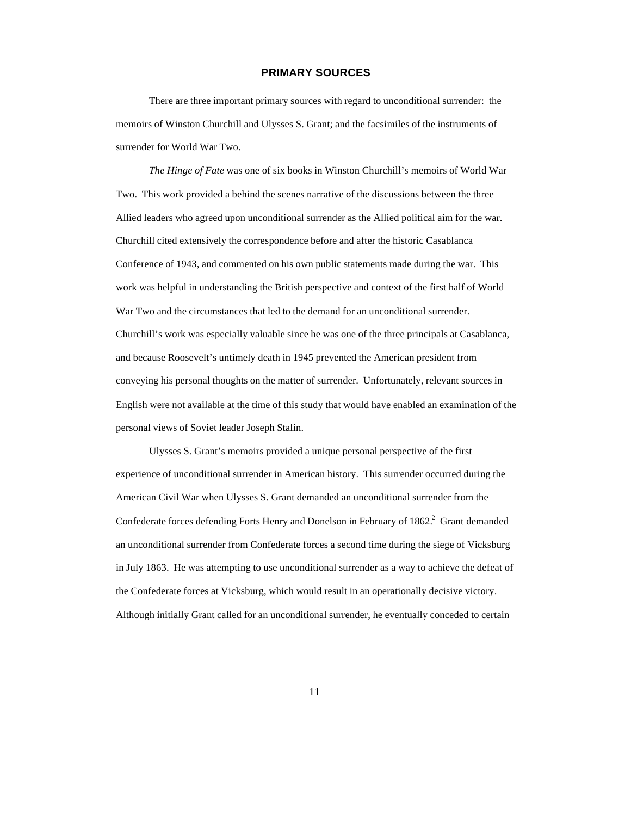### **PRIMARY SOURCES**

There are three important primary sources with regard to unconditional surrender: the memoirs of Winston Churchill and Ulysses S. Grant; and the facsimiles of the instruments of surrender for World War Two.

*The Hinge of Fate* was one of six books in Winston Churchill's memoirs of World War Two. This work provided a behind the scenes narrative of the discussions between the three Allied leaders who agreed upon unconditional surrender as the Allied political aim for the war. Churchill cited extensively the correspondence before and after the historic Casablanca Conference of 1943, and commented on his own public statements made during the war. This work was helpful in understanding the British perspective and context of the first half of World War Two and the circumstances that led to the demand for an unconditional surrender. Churchill's work was especially valuable since he was one of the three principals at Casablanca, and because Roosevelt's untimely death in 1945 prevented the American president from conveying his personal thoughts on the matter of surrender. Unfortunately, relevant sources in English were not available at the time of this study that would have enabled an examination of the personal views of Soviet leader Joseph Stalin.

Ulysses S. Grant's memoirs provided a unique personal perspective of the first experience of unconditional surrender in American history. This surrender occurred during the American Civil War when Ulysses S. Grant demanded an unconditional surrender from the Confederate forces defending Forts Henry and Donelson in February of 1862.<sup>2</sup> Grant demanded an unconditional surrender from Confederate forces a second time during the siege of Vicksburg in July 1863. He was attempting to use unconditional surrender as a way to achieve the defeat of the Confederate forces at Vicksburg, which would result in an operationally decisive victory. Although initially Grant called for an unconditional surrender, he eventually conceded to certain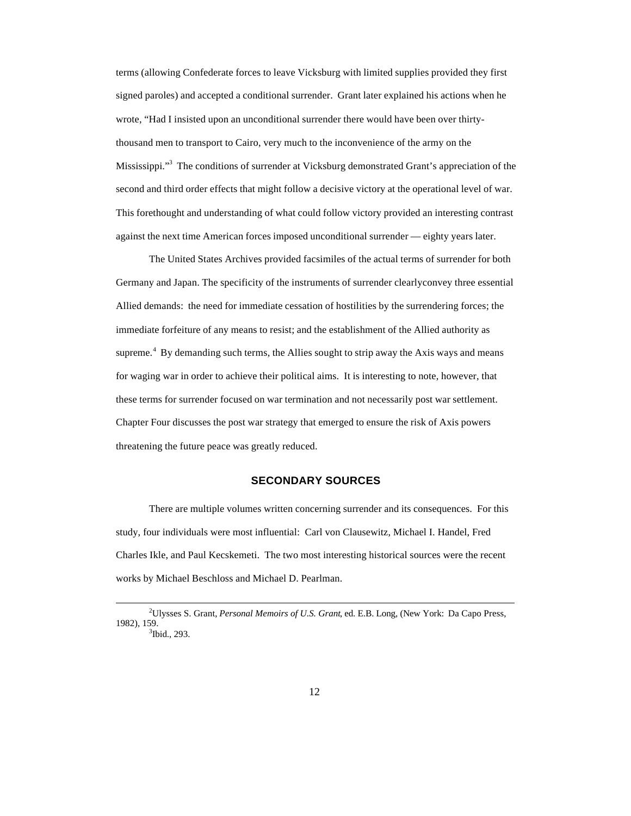terms (allowing Confederate forces to leave Vicksburg with limited supplies provided they first signed paroles) and accepted a conditional surrender. Grant later explained his actions when he wrote, "Had I insisted upon an unconditional surrender there would have been over thirtythousand men to transport to Cairo, very much to the inconvenience of the army on the Mississippi."<sup>3</sup> The conditions of surrender at Vicksburg demonstrated Grant's appreciation of the second and third order effects that might follow a decisive victory at the operational level of war. This forethought and understanding of what could follow victory provided an interesting contrast against the next time American forces imposed unconditional surrender — eighty years later.

The United States Archives provided facsimiles of the actual terms of surrender for both Germany and Japan. The specificity of the instruments of surrender clearly convey three essential Allied demands: the need for immediate cessation of hostilities by the surrendering forces; the immediate forfeiture of any means to resist; and the establishment of the Allied authority as supreme.<sup>4</sup> By demanding such terms, the Allies sought to strip away the Axis ways and means for waging war in order to achieve their political aims. It is interesting to note, however, that these terms for surrender focused on war termination and not necessarily post war settlement. Chapter Four discusses the post war strategy that emerged to ensure the risk of Axis powers threatening the future peace was greatly reduced.

#### **SECONDARY SOURCES**

There are multiple volumes written concerning surrender and its consequences. For this study, four individuals were most influential: Carl von Clausewitz, Michael I. Handel, Fred Charles Ikle, and Paul Kecskemeti. The two most interesting historical sources were the recent works by Michael Beschloss and Michael D. Pearlman.

<sup>2</sup>Ulysses S. Grant, *Personal Memoirs of U.S. Grant*, ed. E.B. Long, (New York: Da Capo Press, 1982), 159. 3 Ibid., 293.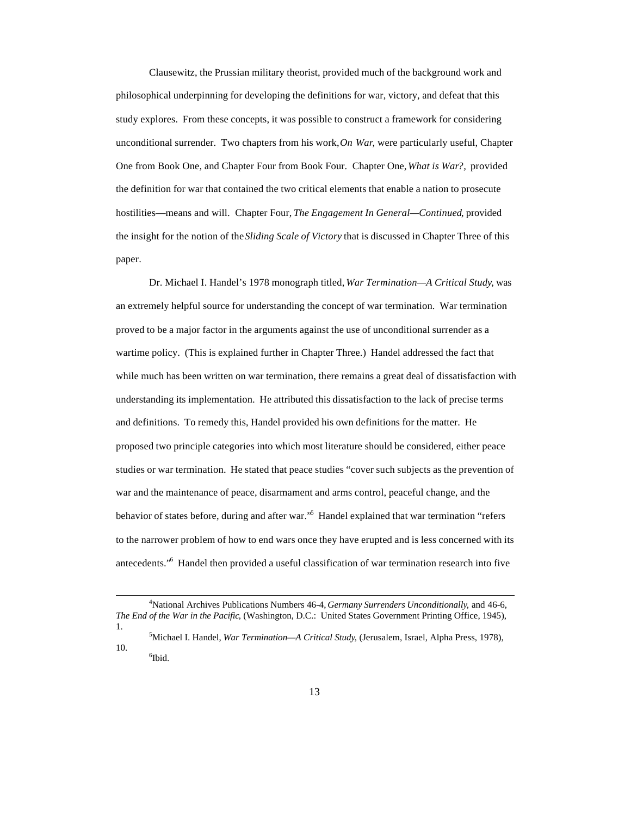Clausewitz, the Prussian military theorist, provided much of the background work and philosophical underpinning for developing the definitions for war, victory, and defeat that this study explores. From these concepts, it was possible to construct a framework for considering unconditional surrender. Two chapters from his work, *On War*, were particularly useful, Chapter One from Book One, and Chapter Four from Book Four. Chapter One, *What is War?,* provided the definition for war that contained the two critical elements that enable a nation to prosecute hostilities—means and will. Chapter Four, *The Engagement In General—Continued*, provided the insight for the notion of the *Sliding Scale of Victory* that is discussed in Chapter Three of this paper.

Dr. Michael I. Handel's 1978 monograph titled, *War Termination—A Critical Study*, was an extremely helpful source for understanding the concept of war termination. War termination proved to be a major factor in the arguments against the use of unconditional surrender as a wartime policy. (This is explained further in Chapter Three.) Handel addressed the fact that while much has been written on war termination, there remains a great deal of dissatisfaction with understanding its implementation. He attributed this dissatisfaction to the lack of precise terms and definitions. To remedy this, Handel provided his own definitions for the matter. He proposed two principle categories into which most literature should be considered, either peace studies or war termination. He stated that peace studies "cover such subjects as the prevention of war and the maintenance of peace, disarmament and arms control, peaceful change, and the behavior of states before, during and after war." Handel explained that war termination "refers to the narrower problem of how to end wars once they have erupted and is less concerned with its antecedents."<sup>6</sup> Handel then provided a useful classification of war termination research into five

<sup>4</sup>National Archives Publications Numbers 46-4, *Germany Surrenders Unconditionally*, and 46-6, *The End of the War in the Pacific*, (Washington, D.C.: United States Government Printing Office, 1945), 1.

<sup>5</sup>Michael I. Handel, *War Termination—A Critical Study*, (Jerusalem, Israel, Alpha Press, 1978), 10. 6 Ibid.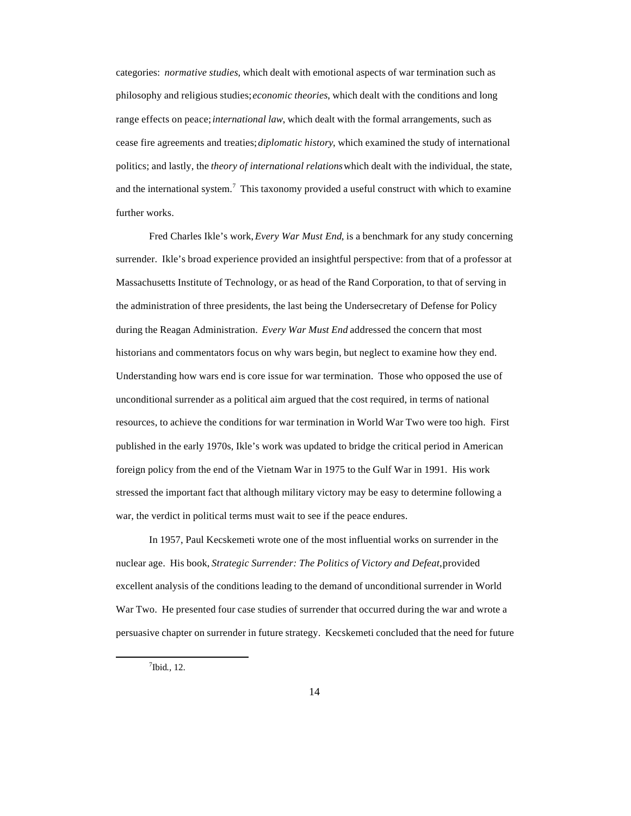categories: *normative studies*, which dealt with emotional aspects of war termination such as philosophy and religious studies; *economic theories*, which dealt with the conditions and long range effects on peace; *international law*, which dealt with the formal arrangements, such as cease fire agreements and treaties; *diplomatic history*, which examined the study of international politics; and lastly, the *theory of international relations* which dealt with the individual, the state, and the international system.<sup>7</sup> This taxonomy provided a useful construct with which to examine further works.

Fred Charles Ikle's work, *Every War Must End*, is a benchmark for any study concerning surrender. Ikle's broad experience provided an insightful perspective: from that of a professor at Massachusetts Institute of Technology, or as head of the Rand Corporation, to that of serving in the administration of three presidents, the last being the Undersecretary of Defense for Policy during the Reagan Administration. *Every War Must End* addressed the concern that most historians and commentators focus on why wars begin, but neglect to examine how they end. Understanding how wars end is core issue for war termination. Those who opposed the use of unconditional surrender as a political aim argued that the cost required, in terms of national resources, to achieve the conditions for war termination in World War Two were too high. First published in the early 1970s, Ikle's work was updated to bridge the critical period in American foreign policy from the end of the Vietnam War in 1975 to the Gulf War in 1991. His work stressed the important fact that although military victory may be easy to determine following a war, the verdict in political terms must wait to see if the peace endures.

In 1957, Paul Kecskemeti wrote one of the most influential works on surrender in the nuclear age. His book, *Strategic Surrender: The Politics of Victory and Defeat,* provided excellent analysis of the conditions leading to the demand of unconditional surrender in World War Two. He presented four case studies of surrender that occurred during the war and wrote a persuasive chapter on surrender in future strategy. Kecskemeti concluded that the need for future

<sup>7</sup> Ibid*.,* 12.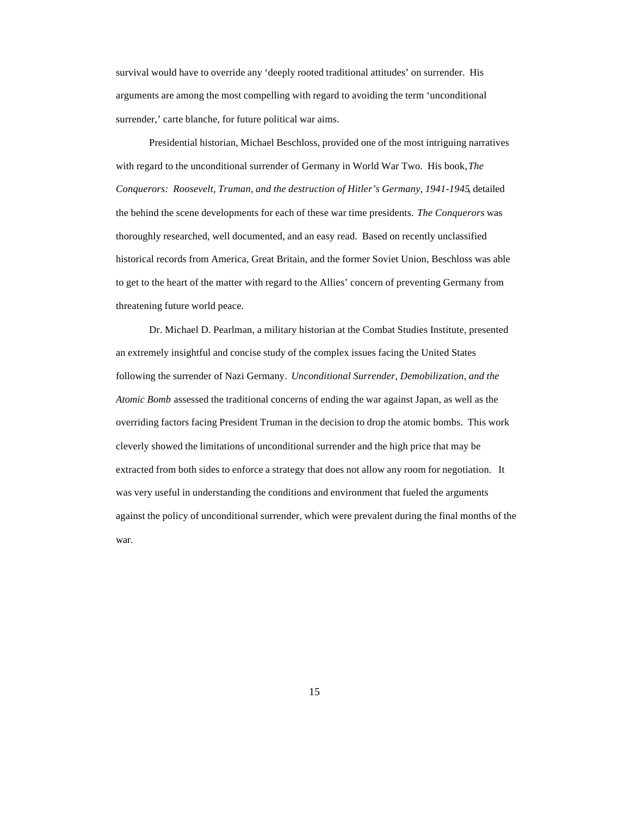survival would have to override any 'deeply rooted traditional attitudes' on surrender. His arguments are among the most compelling with regard to avoiding the term 'unconditional surrender,' carte blanche, for future political war aims.

Presidential historian, Michael Beschloss, provided one of the most intriguing narratives with regard to the unconditional surrender of Germany in World War Two. His book, *The Conquerors: Roosevelt, Truman, and the destruction of Hitler's Germany, 1941-1945*, detailed the behind the scene developments for each of these war time presidents. *The Conquerors* was thoroughly researched, well documented, and an easy read. Based on recently unclassified historical records from America, Great Britain, and the former Soviet Union, Beschloss was able to get to the heart of the matter with regard to the Allies' concern of preventing Germany from threatening future world peace.

Dr. Michael D. Pearlman, a military historian at the Combat Studies Institute, presented an extremely insightful and concise study of the complex issues facing the United States following the surrender of Nazi Germany. *Unconditional Surrender, Demobilization, and the Atomic Bomb* assessed the traditional concerns of ending the war against Japan, as well as the overriding factors facing President Truman in the decision to drop the atomic bombs. This work cleverly showed the limitations of unconditional surrender and the high price that may be extracted from both sides to enforce a strategy that does not allow any room for negotiation. It was very useful in understanding the conditions and environment that fueled the arguments against the policy of unconditional surrender, which were prevalent during the final months of the war.

15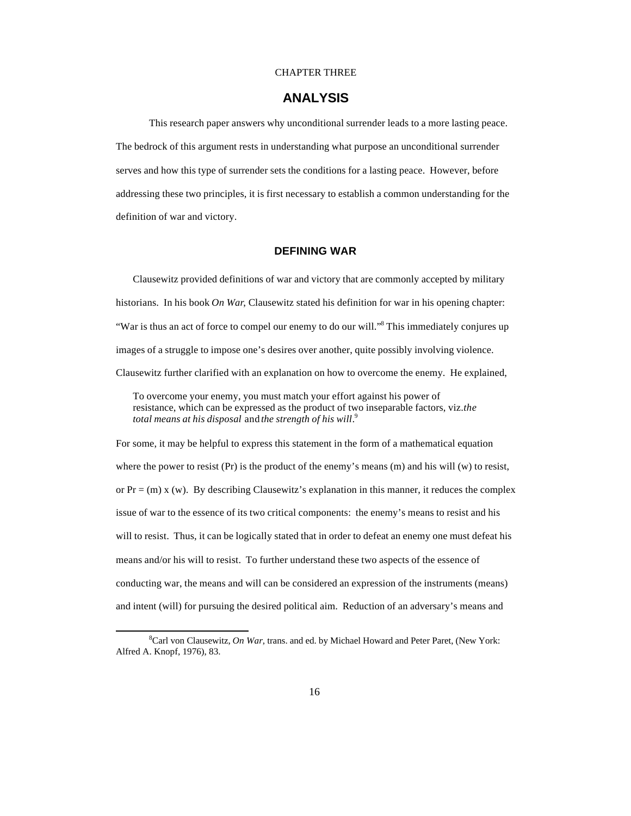#### CHAPTER THREE

## **ANALYSIS**

This research paper answers why unconditional surrender leads to a more lasting peace. The bedrock of this argument rests in understanding what purpose an unconditional surrender serves and how this type of surrender sets the conditions for a lasting peace. However, before addressing these two principles, it is first necessary to establish a common understanding for the definition of war and victory.

## **DEFINING WAR**

Clausewitz provided definitions of war and victory that are commonly accepted by military historians. In his book *On War*, Clausewitz stated his definition for war in his opening chapter: "War is thus an act of force to compel our enemy to do our will."<sup>8</sup> This immediately conjures up images of a struggle to impose one's desires over another, quite possibly involving violence. Clausewitz further clarified with an explanation on how to overcome the enemy. He explained,

To overcome your enemy, you must match your effort against his power of resistance, which can be expressed as the product of two inseparable factors, viz. *the total means at his disposal* and *the strength of his will*. 9

For some, it may be helpful to express this statement in the form of a mathematical equation where the power to resist (Pr) is the product of the enemy's means (m) and his will (w) to resist, or  $Pr = (m)$  x (w). By describing Clausewitz's explanation in this manner, it reduces the complex issue of war to the essence of its two critical components: the enemy's means to resist and his will to resist. Thus, it can be logically stated that in order to defeat an enemy one must defeat his means and/or his will to resist. To further understand these two aspects of the essence of conducting war, the means and will can be considered an expression of the instruments (means) and intent (will) for pursuing the desired political aim. Reduction of an adversary's means and

<sup>8</sup>Carl von Clausewitz, *On War*, trans. and ed. by Michael Howard and Peter Paret, (New York: Alfred A. Knopf, 1976), 83.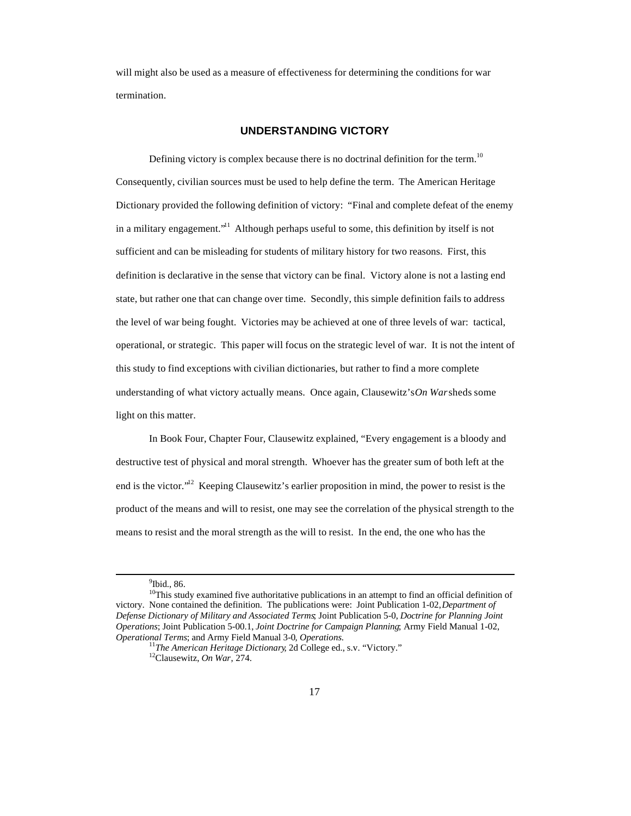will might also be used as a measure of effectiveness for determining the conditions for war termination.

### **UNDERSTANDING VICTORY**

Defining victory is complex because there is no doctrinal definition for the term.<sup>10</sup> Consequently, civilian sources must be used to help define the term. The American Heritage Dictionary provided the following definition of victory: "Final and complete defeat of the enemy in a military engagement."<sup>11</sup> Although perhaps useful to some, this definition by itself is not sufficient and can be misleading for students of military history for two reasons. First, this definition is declarative in the sense that victory can be final. Victory alone is not a lasting end state, but rather one that can change over time. Secondly, this simple definition fails to address the level of war being fought. Victories may be achieved at one of three levels of war: tactical, operational, or strategic. This paper will focus on the strategic level of war. It is not the intent of this study to find exceptions with civilian dictionaries, but rather to find a more complete understanding of what victory actually means. Once again, Clausewitz's *On War* sheds some light on this matter.

In Book Four, Chapter Four, Clausewitz explained, "Every engagement is a bloody and destructive test of physical and moral strength. Whoever has the greater sum of both left at the end is the victor."<sup>12</sup> Keeping Clausewitz's earlier proposition in mind, the power to resist is the product of the means and will to resist, one may see the correlation of the physical strength to the means to resist and the moral strength as the will to resist. In the end, the one who has the

<sup>&</sup>lt;sup>9</sup>Ibid., 86.

<sup>&</sup>lt;sup>10</sup>This study examined five authoritative publications in an attempt to find an official definition of victory. None contained the definition. The publications were: Joint Publication 1-02, *Department of Defense Dictionary of Military and Associated Terms*; Joint Publication 5-0, *Doctrine for Planning Joint Operations*; Joint Publication 5-00.1, *Joint Doctrine for Campaign Planning*; Army Field Manual 1-02, *Operational Terms*; and Army Field Manual 3-0*, Operations*.

<sup>11</sup>*The American Heritage Dictionary*, 2d College ed., s.v. "Victory."

<sup>12</sup>Clausewitz, *On War*, 274.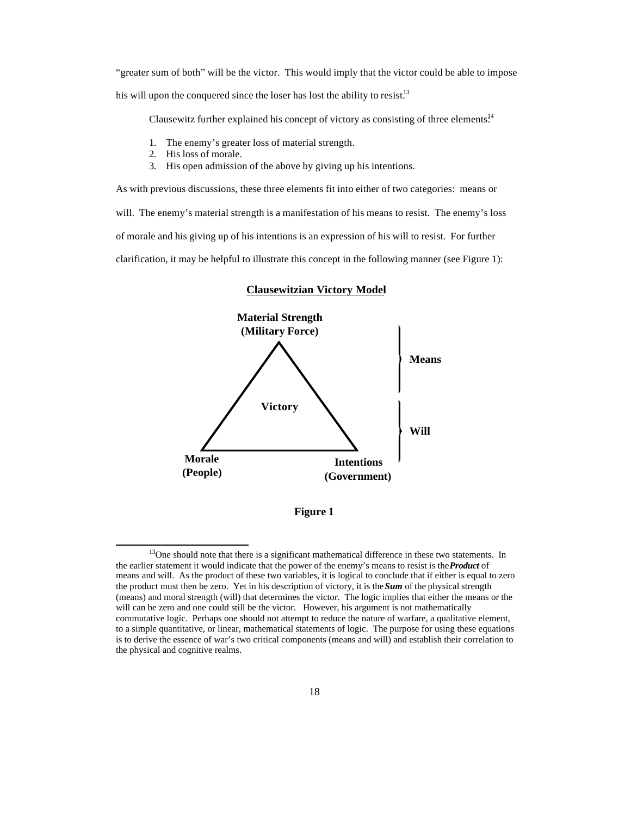"greater sum of both" will be the victor. This would imply that the victor could be able to impose his will upon the conquered since the loser has lost the ability to resist.<sup>13</sup>

Clausewitz further explained his concept of victory as consisting of three elements. $14$ 

- 1. The enemy's greater loss of material strength.
- 2. His loss of morale.

 $\overline{a}$ 

3. His open admission of the above by giving up his intentions.

As with previous discussions, these three elements fit into either of two categories: means or will. The enemy's material strength is a manifestation of his means to resist. The enemy's loss of morale and his giving up of his intentions is an expression of his will to resist. For further clarification, it may be helpful to illustrate this concept in the following manner (see Figure 1):



#### **Clausewitzian Victory Model**

**Figure 1**

<sup>&</sup>lt;sup>13</sup>One should note that there is a significant mathematical difference in these two statements. In the earlier statement it would indicate that the power of the enemy's means to resist is the *Product* of means and will. As the product of these two variables, it is logical to conclude that if either is equal to zero the product must then be zero. Yet in his description of victory, it is the *Sum* of the physical strength (means) and moral strength (will) that determines the victor. The logic implies that either the means or the will can be zero and one could still be the victor. However, his argument is not mathematically commutative logic. Perhaps one should not attempt to reduce the nature of warfare, a qualitative element, to a simple quantitative, or linear, mathematical statements of logic. The purpose for using these equations is to derive the essence of war's two critical components (means and will) and establish their correlation to the physical and cognitive realms.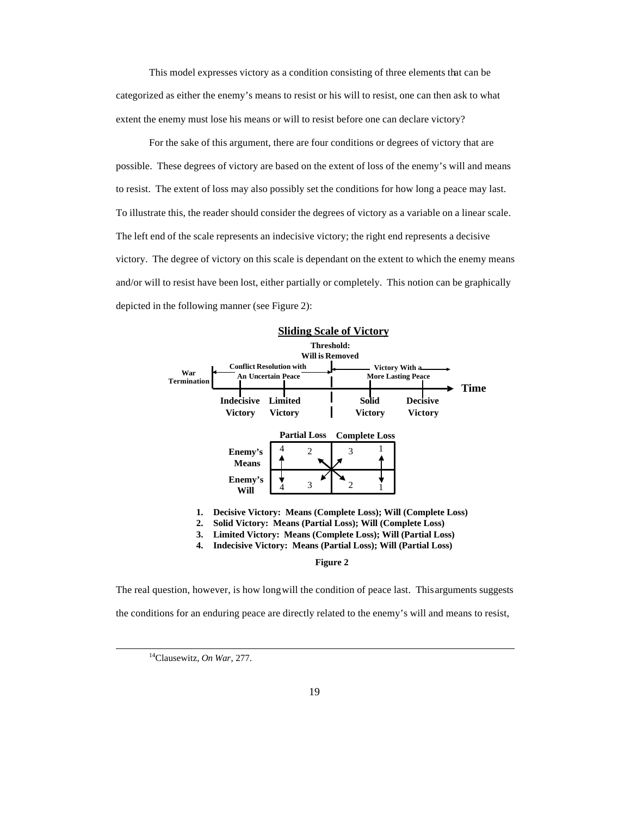This model expresses victory as a condition consisting of three elements that can be categorized as either the enemy's means to resist or his will to resist, one can then ask to what extent the enemy must lose his means or will to resist before one can declare victory?

For the sake of this argument, there are four conditions or degrees of victory that are possible. These degrees of victory are based on the extent of loss of the enemy's will and means to resist. The extent of loss may also possibly set the conditions for how long a peace may last. To illustrate this, the reader should consider the degrees of victory as a variable on a linear scale. The left end of the scale represents an indecisive victory; the right end represents a decisive victory. The degree of victory on this scale is dependant on the extent to which the enemy means and/or will to resist have been lost, either partially or completely. This notion can be graphically depicted in the following manner (see Figure 2):



**4. Indecisive Victory: Means (Partial Loss); Will (Partial Loss)**

**Figure 2**

The real question, however, is how long will the condition of peace last. This arguments suggests the conditions for an enduring peace are directly related to the enemy's will and means to resist,

<sup>14</sup>Clausewitz, *On War*, 277.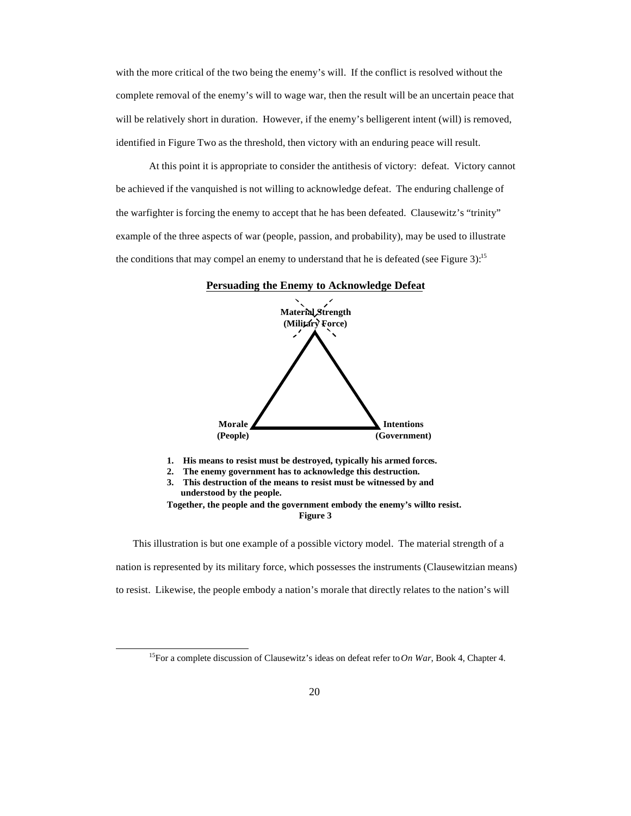with the more critical of the two being the enemy's will. If the conflict is resolved without the complete removal of the enemy's will to wage war, then the result will be an uncertain peace that will be relatively short in duration. However, if the enemy's belligerent intent (will) is removed, identified in Figure Two as the threshold, then victory with an enduring peace will result.

At this point it is appropriate to consider the antithesis of victory: defeat. Victory cannot be achieved if the vanquished is not willing to acknowledge defeat. The enduring challenge of the warfighter is forcing the enemy to accept that he has been defeated. Clausewitz's "trinity" example of the three aspects of war (people, passion, and probability), may be used to illustrate the conditions that may compel an enemy to understand that he is defeated (see Figure 3):<sup>15</sup>



**1. His means to resist must be destroyed, typically his armed forces.**

**2. The enemy government has to acknowledge this destruction.**

**3. This destruction of the means to resist must be witnessed by and understood by the people.**

Together, the people and the government embody the enemy's willto resist. **Figure 3**

This illustration is but one example of a possible victory model. The material strength of a nation is represented by its military force, which possesses the instruments (Clausewitzian means) to resist. Likewise, the people embody a nation's morale that directly relates to the nation's will

<sup>15</sup>For a complete discussion of Clausewitz's ideas on defeat refer to *On War*, Book 4, Chapter 4.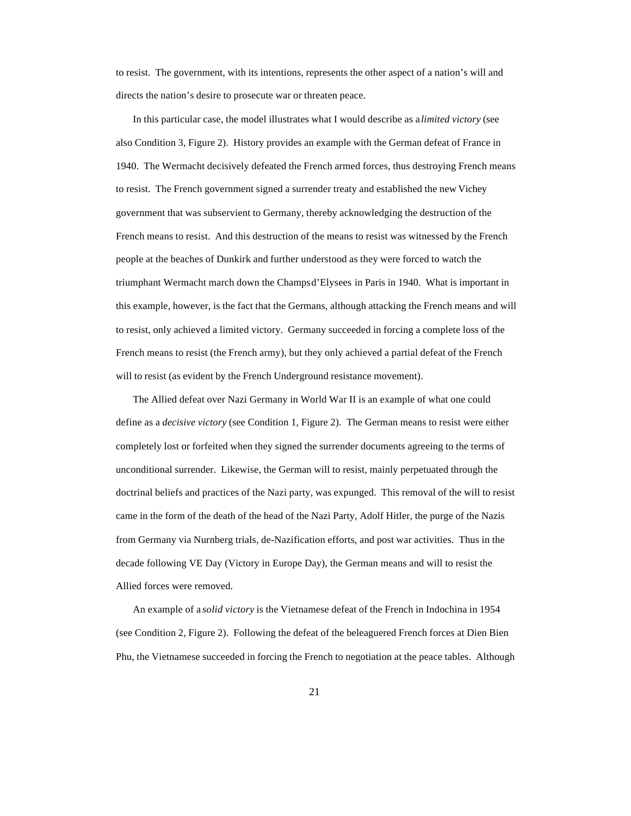to resist. The government, with its intentions, represents the other aspect of a nation's will and directs the nation's desire to prosecute war or threaten peace.

In this particular case, the model illustrates what I would describe as a *limited victory* (see also Condition 3, Figure 2). History provides an example with the German defeat of France in 1940. The Wermacht decisively defeated the French armed forces, thus destroying French means to resist. The French government signed a surrender treaty and established the new Vichey government that was subservient to Germany, thereby acknowledging the destruction of the French means to resist. And this destruction of the means to resist was witnessed by the French people at the beaches of Dunkirk and further understood as they were forced to watch the triumphant Wermacht march down the Champs d'Elysees in Paris in 1940. What is important in this example, however, is the fact that the Germans, although attacking the French means and will to resist, only achieved a limited victory. Germany succeeded in forcing a complete loss of the French means to resist (the French army), but they only achieved a partial defeat of the French will to resist (as evident by the French Underground resistance movement).

The Allied defeat over Nazi Germany in World War II is an example of what one could define as a *decisive victory* (see Condition 1, Figure 2). The German means to resist were either completely lost or forfeited when they signed the surrender documents agreeing to the terms of unconditional surrender. Likewise, the German will to resist, mainly perpetuated through the doctrinal beliefs and practices of the Nazi party, was expunged. This removal of the will to resist came in the form of the death of the head of the Nazi Party, Adolf Hitler, the purge of the Nazis from Germany via Nurnberg trials, de-Nazification efforts, and post war activities. Thus in the decade following VE Day (Victory in Europe Day), the German means and will to resist the Allied forces were removed.

An example of a *solid victory* is the Vietnamese defeat of the French in Indochina in 1954 (see Condition 2, Figure 2). Following the defeat of the beleaguered French forces at Dien Bien Phu, the Vietnamese succeeded in forcing the French to negotiation at the peace tables. Although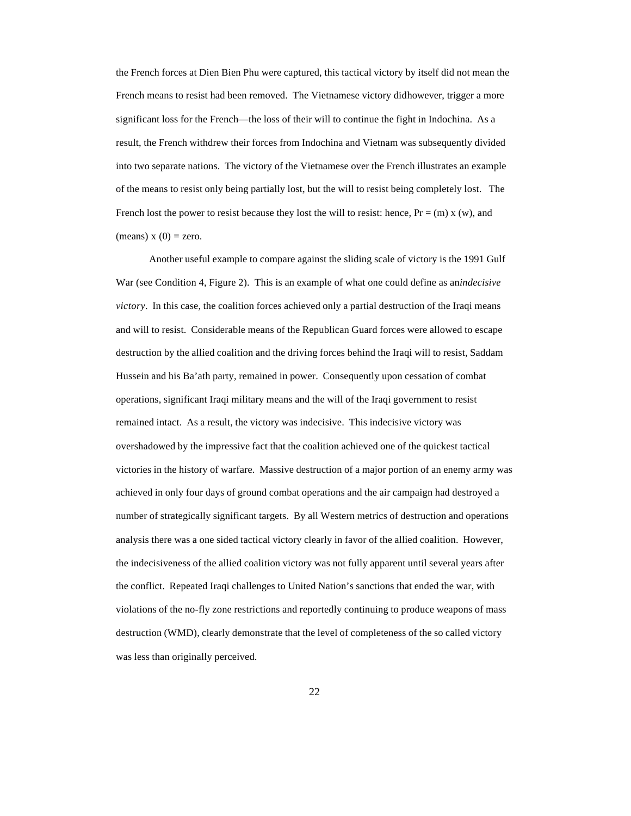the French forces at Dien Bien Phu were captured, this tactical victory by itself did not mean the French means to resist had been removed. The Vietnamese victory didhowever, trigger a more significant loss for the French—the loss of their will to continue the fight in Indochina. As a result, the French withdrew their forces from Indochina and Vietnam was subsequently divided into two separate nations. The victory of the Vietnamese over the French illustrates an example of the means to resist only being partially lost, but the will to resist being completely lost. The French lost the power to resist because they lost the will to resist: hence,  $Pr = (m) \times (w)$ , and (means)  $x(0) =$ zero.

Another useful example to compare against the sliding scale of victory is the 1991 Gulf War (see Condition 4, Figure 2). This is an example of what one could define as ani*ndecisive victory*. In this case, the coalition forces achieved only a partial destruction of the Iraqi means and will to resist. Considerable means of the Republican Guard forces were allowed to escape destruction by the allied coalition and the driving forces behind the Iraqi will to resist, Saddam Hussein and his Ba'ath party, remained in power. Consequently upon cessation of combat operations, significant Iraqi military means and the will of the Iraqi government to resist remained intact. As a result, the victory was indecisive. This indecisive victory was overshadowed by the impressive fact that the coalition achieved one of the quickest tactical victories in the history of warfare. Massive destruction of a major portion of an enemy army was achieved in only four days of ground combat operations and the air campaign had destroyed a number of strategically significant targets. By all Western metrics of destruction and operations analysis there was a one sided tactical victory clearly in favor of the allied coalition. However, the indecisiveness of the allied coalition victory was not fully apparent until several years after the conflict. Repeated Iraqi challenges to United Nation's sanctions that ended the war, with violations of the no-fly zone restrictions and reportedly continuing to produce weapons of mass destruction (WMD), clearly demonstrate that the level of completeness of the so called victory was less than originally perceived.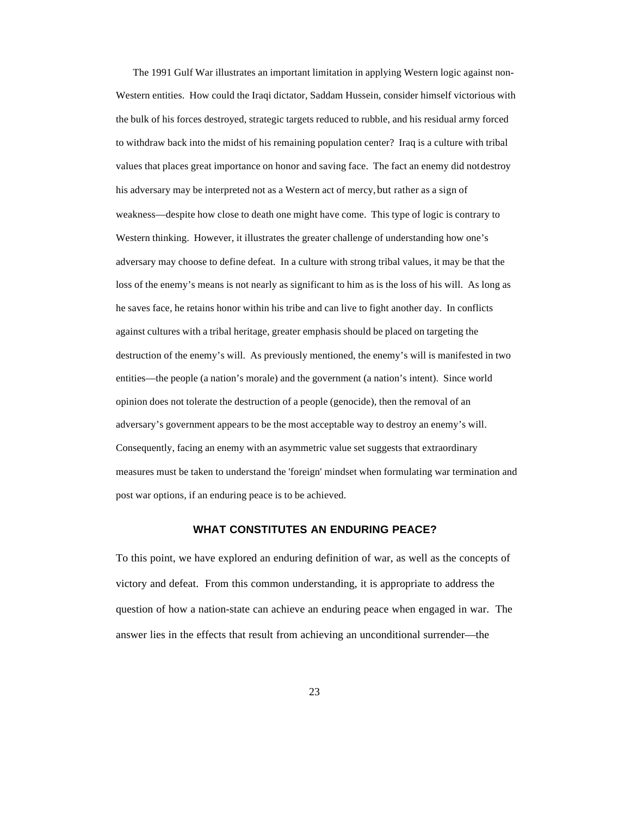The 1991 Gulf War illustrates an important limitation in applying Western logic against non-Western entities. How could the Iraqi dictator, Saddam Hussein, consider himself victorious with the bulk of his forces destroyed, strategic targets reduced to rubble, and his residual army forced to withdraw back into the midst of his remaining population center? Iraq is a culture with tribal values that places great importance on honor and saving face. The fact an enemy did notdestroy his adversary may be interpreted not as a Western act of mercy, but rather as a sign of weakness—despite how close to death one might have come. This type of logic is contrary to Western thinking. However, it illustrates the greater challenge of understanding how one's adversary may choose to define defeat. In a culture with strong tribal values, it may be that the loss of the enemy's means is not nearly as significant to him as is the loss of his will. As long as he saves face, he retains honor within his tribe and can live to fight another day. In conflicts against cultures with a tribal heritage, greater emphasis should be placed on targeting the destruction of the enemy's will. As previously mentioned, the enemy's will is manifested in two entities—the people (a nation's morale) and the government (a nation's intent). Since world opinion does not tolerate the destruction of a people (genocide), then the removal of an adversary's government appears to be the most acceptable way to destroy an enemy's will. Consequently, facing an enemy with an asymmetric value set suggests that extraordinary measures must be taken to understand the 'foreign' mindset when formulating war termination and post war options, if an enduring peace is to be achieved.

## **WHAT CONSTITUTES AN ENDURING PEACE?**

To this point, we have explored an enduring definition of war, as well as the concepts of victory and defeat. From this common understanding, it is appropriate to address the question of how a nation-state can achieve an enduring peace when engaged in war. The answer lies in the effects that result from achieving an unconditional surrender—the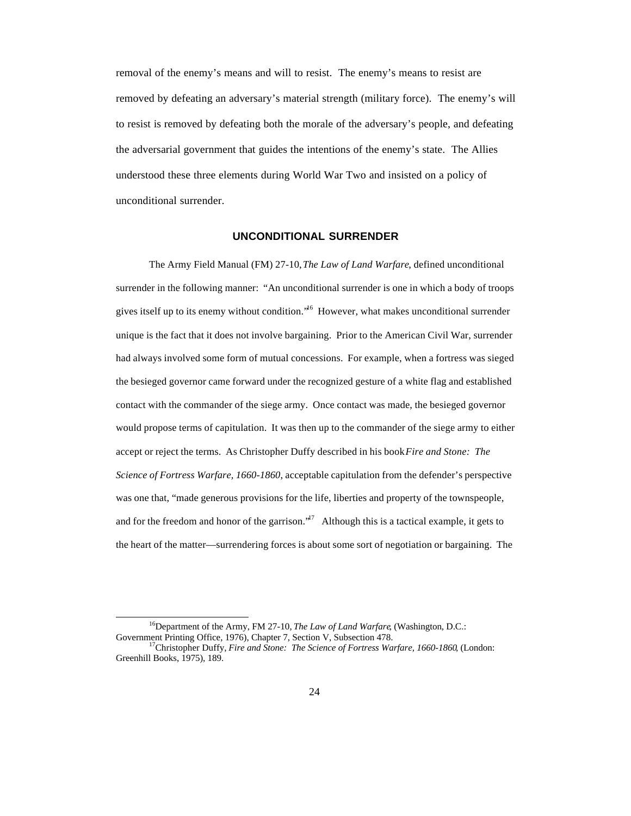removal of the enemy's means and will to resist. The enemy's means to resist are removed by defeating an adversary's material strength (military force). The enemy's will to resist is removed by defeating both the morale of the adversary's people, and defeating the adversarial government that guides the intentions of the enemy's state. The Allies understood these three elements during World War Two and insisted on a policy of unconditional surrender.

#### **UNCONDITIONAL SURRENDER**

The Army Field Manual (FM) 27-10, *The Law of Land Warfare*, defined unconditional surrender in the following manner: "An unconditional surrender is one in which a body of troops gives itself up to its enemy without condition."<sup>16</sup> However, what makes unconditional surrender unique is the fact that it does not involve bargaining. Prior to the American Civil War, surrender had always involved some form of mutual concessions. For example, when a fortress was sieged the besieged governor came forward under the recognized gesture of a white flag and established contact with the commander of the siege army. Once contact was made, the besieged governor would propose terms of capitulation. It was then up to the commander of the siege army to either accept or reject the terms. As Christopher Duffy described in his book *Fire and Stone: The Science of Fortress Warfare, 1660-1860*, acceptable capitulation from the defender's perspective was one that, "made generous provisions for the life, liberties and property of the townspeople, and for the freedom and honor of the garrison."<sup>17</sup> Although this is a tactical example, it gets to the heart of the matter—surrendering forces is about some sort of negotiation or bargaining. The

<sup>16</sup>Department of the Army, FM 27-10, *The Law of Land Warfare*, (Washington, D.C.: Government Printing Office, 1976), Chapter 7, Section V, Subsection 478.

<sup>17</sup>Christopher Duffy, *Fire and Stone: The Science of Fortress Warfare, 1660-1860*, (London: Greenhill Books, 1975), 189.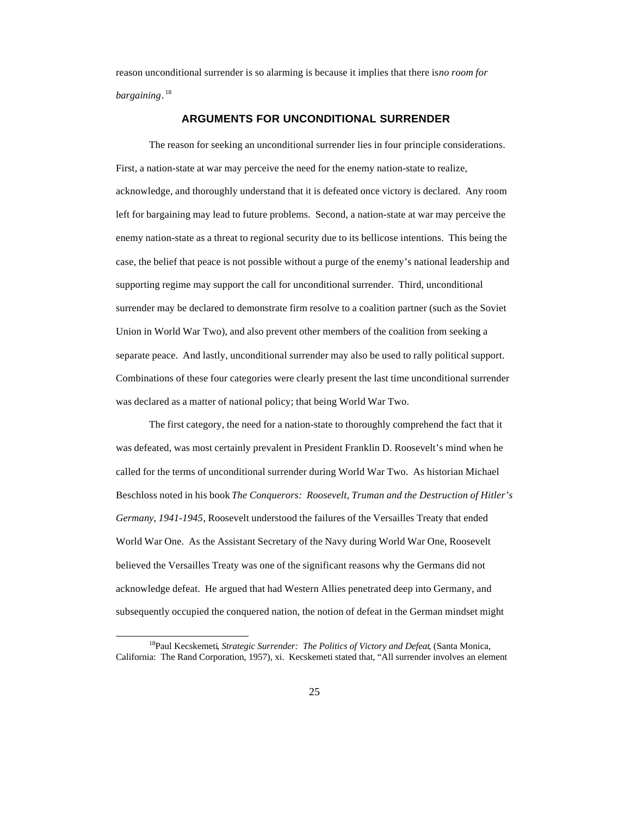reason unconditional surrender is so alarming is because it implies that there is *no room for bargaining*. 18

#### **ARGUMENTS FOR UNCONDITIONAL SURRENDER**

The reason for seeking an unconditional surrender lies in four principle considerations. First, a nation-state at war may perceive the need for the enemy nation-state to realize, acknowledge, and thoroughly understand that it is defeated once victory is declared. Any room left for bargaining may lead to future problems. Second, a nation-state at war may perceive the enemy nation-state as a threat to regional security due to its bellicose intentions. This being the case, the belief that peace is not possible without a purge of the enemy's national leadership and supporting regime may support the call for unconditional surrender. Third, unconditional surrender may be declared to demonstrate firm resolve to a coalition partner (such as the Soviet Union in World War Two), and also prevent other members of the coalition from seeking a separate peace. And lastly, unconditional surrender may also be used to rally political support. Combinations of these four categories were clearly present the last time unconditional surrender was declared as a matter of national policy; that being World War Two.

The first category, the need for a nation-state to thoroughly comprehend the fact that it was defeated, was most certainly prevalent in President Franklin D. Roosevelt's mind when he called for the terms of unconditional surrender during World War Two. As historian Michael Beschloss noted in his book *The Conquerors: Roosevelt, Truman and the Destruction of Hitler's Germany, 1941-1945*, Roosevelt understood the failures of the Versailles Treaty that ended World War One. As the Assistant Secretary of the Navy during World War One, Roosevelt believed the Versailles Treaty was one of the significant reasons why the Germans did not acknowledge defeat. He argued that had Western Allies penetrated deep into Germany, and subsequently occupied the conquered nation, the notion of defeat in the German mindset might

<sup>18</sup>Paul Kecskemeti*, Strategic Surrender: The Politics of Victory and Defeat*, (Santa Monica, California: The Rand Corporation, 1957), xi. Kecskemeti stated that, "All surrender involves an element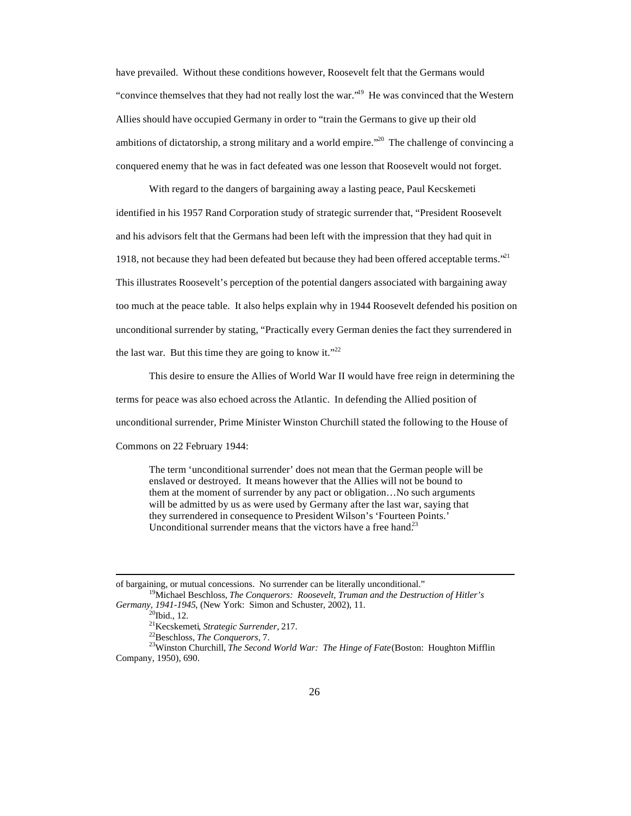have prevailed. Without these conditions however, Roosevelt felt that the Germans would "convince themselves that they had not really lost the war."<sup>19</sup> He was convinced that the Western Allies should have occupied Germany in order to "train the Germans to give up their old ambitions of dictatorship, a strong military and a world empire.<sup> $20$ </sup> The challenge of convincing a conquered enemy that he was in fact defeated was one lesson that Roosevelt would not forget.

With regard to the dangers of bargaining away a lasting peace, Paul Kecskemeti identified in his 1957 Rand Corporation study of strategic surrender that, "President Roosevelt and his advisors felt that the Germans had been left with the impression that they had quit in 1918, not because they had been defeated but because they had been offered acceptable terms.<sup> $21$ </sup> This illustrates Roosevelt's perception of the potential dangers associated with bargaining away too much at the peace table. It also helps explain why in 1944 Roosevelt defended his position on unconditional surrender by stating, "Practically every German denies the fact they surrendered in the last war. But this time they are going to know it."<sup>22</sup>

This desire to ensure the Allies of World War II would have free reign in determining the terms for peace was also echoed across the Atlantic. In defending the Allied position of unconditional surrender, Prime Minister Winston Churchill stated the following to the House of Commons on 22 February 1944:

The term 'unconditional surrender' does not mean that the German people will be enslaved or destroyed. It means however that the Allies will not be bound to them at the moment of surrender by any pact or obligation…No such arguments will be admitted by us as were used by Germany after the last war, saying that they surrendered in consequence to President Wilson's 'Fourteen Points.' Unconditional surrender means that the victors have a free hand.<sup>23</sup>

<sup>23</sup>Winston Churchill, *The Second World War: The Hinge of Fate* (Boston: Houghton Mifflin Company, 1950), 690.

 $\overline{a}$ of bargaining, or mutual concessions. No surrender can be literally unconditional."

<sup>19</sup>Michael Beschloss, *The Conquerors: Roosevelt, Truman and the Destruction of Hitler's Germany, 1941-1945*, (New York: Simon and Schuster, 2002), 11.

 $20$ Ibid., 12.

<sup>21</sup>Kecskemeti*, Strategic Surrender,* 217.

<sup>22</sup>Beschloss, *The Conquerors,* 7.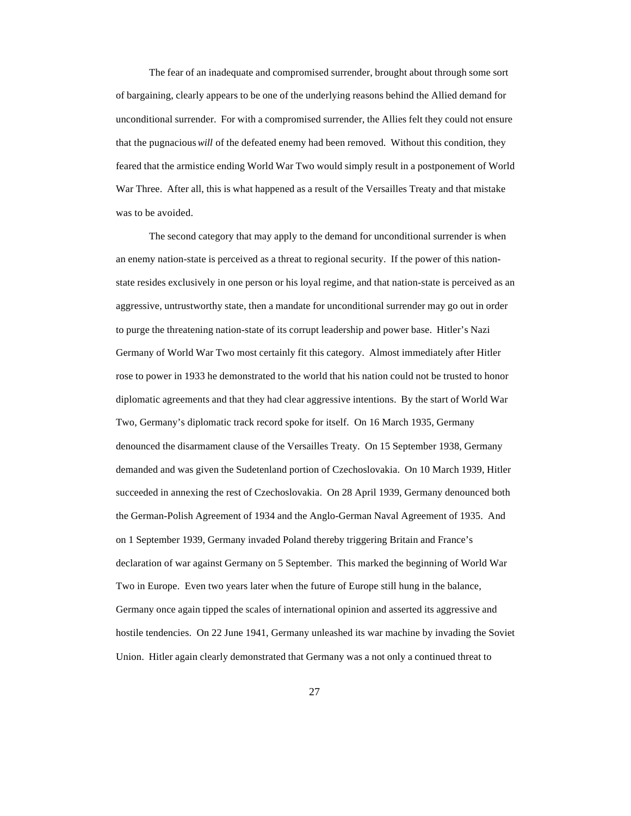The fear of an inadequate and compromised surrender, brought about through some sort of bargaining, clearly appears to be one of the underlying reasons behind the Allied demand for unconditional surrender. For with a compromised surrender, the Allies felt they could not ensure that the pugnacious *will* of the defeated enemy had been removed. Without this condition, they feared that the armistice ending World War Two would simply result in a postponement of World War Three. After all, this is what happened as a result of the Versailles Treaty and that mistake was to be avoided.

The second category that may apply to the demand for unconditional surrender is when an enemy nation-state is perceived as a threat to regional security. If the power of this nationstate resides exclusively in one person or his loyal regime, and that nation-state is perceived as an aggressive, untrustworthy state, then a mandate for unconditional surrender may go out in order to purge the threatening nation-state of its corrupt leadership and power base. Hitler's Nazi Germany of World War Two most certainly fit this category. Almost immediately after Hitler rose to power in 1933 he demonstrated to the world that his nation could not be trusted to honor diplomatic agreements and that they had clear aggressive intentions. By the start of World War Two, Germany's diplomatic track record spoke for itself. On 16 March 1935, Germany denounced the disarmament clause of the Versailles Treaty. On 15 September 1938, Germany demanded and was given the Sudetenland portion of Czechoslovakia. On 10 March 1939, Hitler succeeded in annexing the rest of Czechoslovakia. On 28 April 1939, Germany denounced both the German-Polish Agreement of 1934 and the Anglo-German Naval Agreement of 1935. And on 1 September 1939, Germany invaded Poland thereby triggering Britain and France's declaration of war against Germany on 5 September. This marked the beginning of World War Two in Europe. Even two years later when the future of Europe still hung in the balance, Germany once again tipped the scales of international opinion and asserted its aggressive and hostile tendencies. On 22 June 1941, Germany unleashed its war machine by invading the Soviet Union. Hitler again clearly demonstrated that Germany was a not only a continued threat to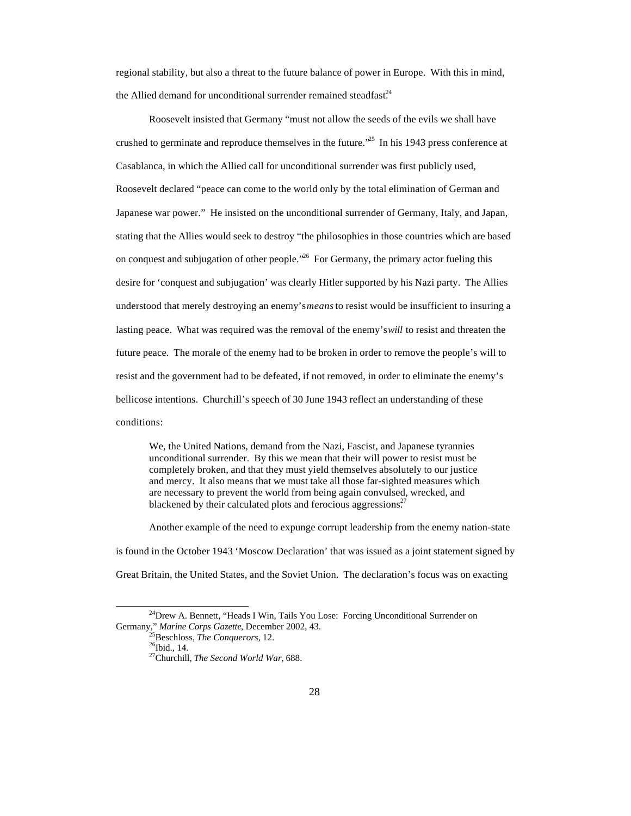regional stability, but also a threat to the future balance of power in Europe. With this in mind, the Allied demand for unconditional surrender remained steadfast.<sup>24</sup>

Roosevelt insisted that Germany "must not allow the seeds of the evils we shall have crushed to germinate and reproduce themselves in the future.<sup>25</sup> In his 1943 press conference at Casablanca, in which the Allied call for unconditional surrender was first publicly used, Roosevelt declared "peace can come to the world only by the total elimination of German and Japanese war power." He insisted on the unconditional surrender of Germany, Italy, and Japan, stating that the Allies would seek to destroy "the philosophies in those countries which are based on conquest and subjugation of other people.<sup> $26$ </sup> For Germany, the primary actor fueling this desire for 'conquest and subjugation' was clearly Hitler supported by his Nazi party. The Allies understood that merely destroying an enemy's *means* to resist would be insufficient to insuring a lasting peace. What was required was the removal of the enemy's *will* to resist and threaten the future peace. The morale of the enemy had to be broken in order to remove the people's will to resist and the government had to be defeated, if not removed, in order to eliminate the enemy's bellicose intentions. Churchill's speech of 30 June 1943 reflect an understanding of these conditions:

We, the United Nations, demand from the Nazi, Fascist, and Japanese tyrannies unconditional surrender. By this we mean that their will power to resist must be completely broken, and that they must yield themselves absolutely to our justice and mercy. It also means that we must take all those far-sighted measures which are necessary to prevent the world from being again convulsed, wrecked, and blackened by their calculated plots and ferocious aggressions.<sup>27</sup>

Another example of the need to expunge corrupt leadership from the enemy nation-state is found in the October 1943 'Moscow Declaration' that was issued as a joint statement signed by Great Britain, the United States, and the Soviet Union. The declaration's focus was on exacting

<sup>&</sup>lt;sup>24</sup>Drew A. Bennett, "Heads I Win, Tails You Lose: Forcing Unconditional Surrender on Germany," *Marine Corps Gazette*, December 2002, 43.

<sup>25</sup>Beschloss, *The Conquerors,* 12.

 $^{26}$ Ibid., 14.

<sup>27</sup>Churchill, *The Second World War,* 688.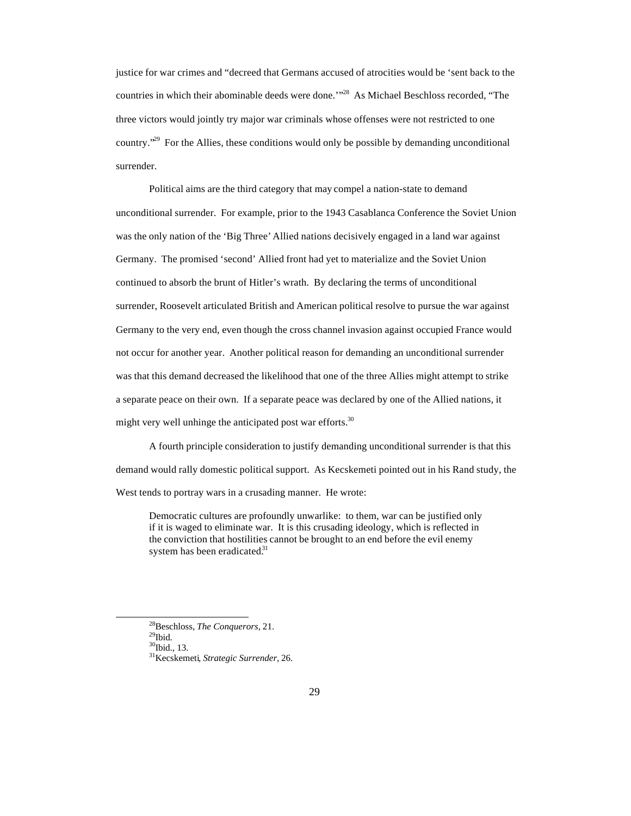justice for war crimes and "decreed that Germans accused of atrocities would be 'sent back to the countries in which their abominable deeds were done.'"<sup>28</sup> As Michael Beschloss recorded, "The three victors would jointly try major war criminals whose offenses were not restricted to one country.<sup> $29$ </sup> For the Allies, these conditions would only be possible by demanding unconditional surrender.

Political aims are the third category that may compel a nation-state to demand unconditional surrender. For example, prior to the 1943 Casablanca Conference the Soviet Union was the only nation of the 'Big Three' Allied nations decisively engaged in a land war against Germany. The promised 'second' Allied front had yet to materialize and the Soviet Union continued to absorb the brunt of Hitler's wrath. By declaring the terms of unconditional surrender, Roosevelt articulated British and American political resolve to pursue the war against Germany to the very end, even though the cross channel invasion against occupied France would not occur for another year. Another political reason for demanding an unconditional surrender was that this demand decreased the likelihood that one of the three Allies might attempt to strike a separate peace on their own. If a separate peace was declared by one of the Allied nations, it might very well unhinge the anticipated post war efforts.<sup>30</sup>

A fourth principle consideration to justify demanding unconditional surrender is that this demand would rally domestic political support. As Kecskemeti pointed out in his Rand study, the West tends to portray wars in a crusading manner. He wrote:

Democratic cultures are profoundly unwarlike: to them, war can be justified only if it is waged to eliminate war. It is this crusading ideology, which is reflected in the conviction that hostilities cannot be brought to an end before the evil enemy system has been eradicated. $31$ 

<sup>28</sup>Beschloss, *The Conquerors,* 21.

 $^{29}$ Ibid.

<sup>&</sup>lt;sup>30</sup>Ibid., 13.

<sup>31</sup>Kecskemeti*, Strategic Surrender,* 26.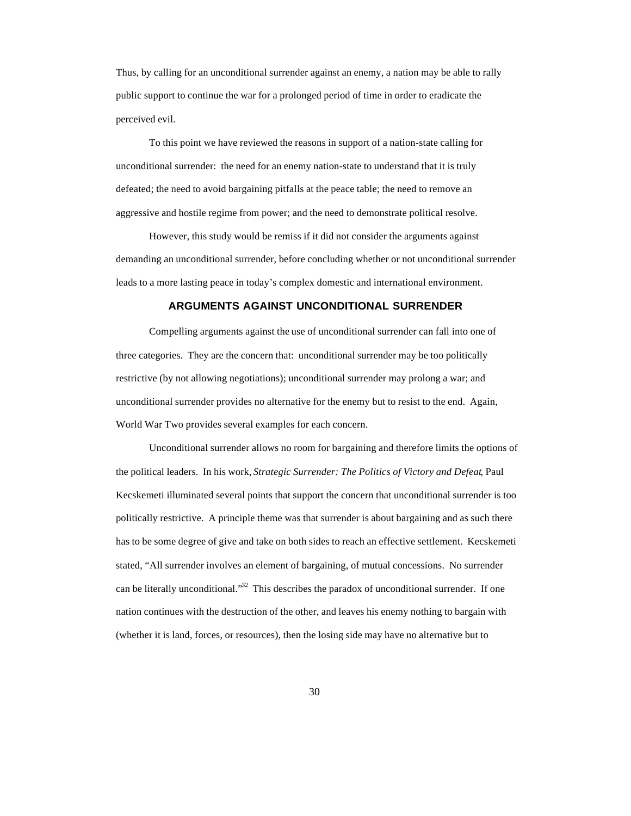Thus, by calling for an unconditional surrender against an enemy, a nation may be able to rally public support to continue the war for a prolonged period of time in order to eradicate the perceived evil.

To this point we have reviewed the reasons in support of a nation-state calling for unconditional surrender: the need for an enemy nation-state to understand that it is truly defeated; the need to avoid bargaining pitfalls at the peace table; the need to remove an aggressive and hostile regime from power; and the need to demonstrate political resolve.

However, this study would be remiss if it did not consider the arguments against demanding an unconditional surrender, before concluding whether or not unconditional surrender leads to a more lasting peace in today's complex domestic and international environment.

## **ARGUMENTS AGAINST UNCONDITIONAL SURRENDER**

Compelling arguments against the use of unconditional surrender can fall into one of three categories. They are the concern that: unconditional surrender may be too politically restrictive (by not allowing negotiations); unconditional surrender may prolong a war; and unconditional surrender provides no alternative for the enemy but to resist to the end. Again, World War Two provides several examples for each concern.

Unconditional surrender allows no room for bargaining and therefore limits the options of the political leaders. In his work, *Strategic Surrender: The Politics of Victory and Defeat*, Paul Kecskemeti illuminated several points that support the concern that unconditional surrender is too politically restrictive. A principle theme was that surrender is about bargaining and as such there has to be some degree of give and take on both sides to reach an effective settlement. Kecskemeti stated, "All surrender involves an element of bargaining, of mutual concessions. No surrender can be literally unconditional."<sup>32</sup> This describes the paradox of unconditional surrender. If one nation continues with the destruction of the other, and leaves his enemy nothing to bargain with (whether it is land, forces, or resources), then the losing side may have no alternative but to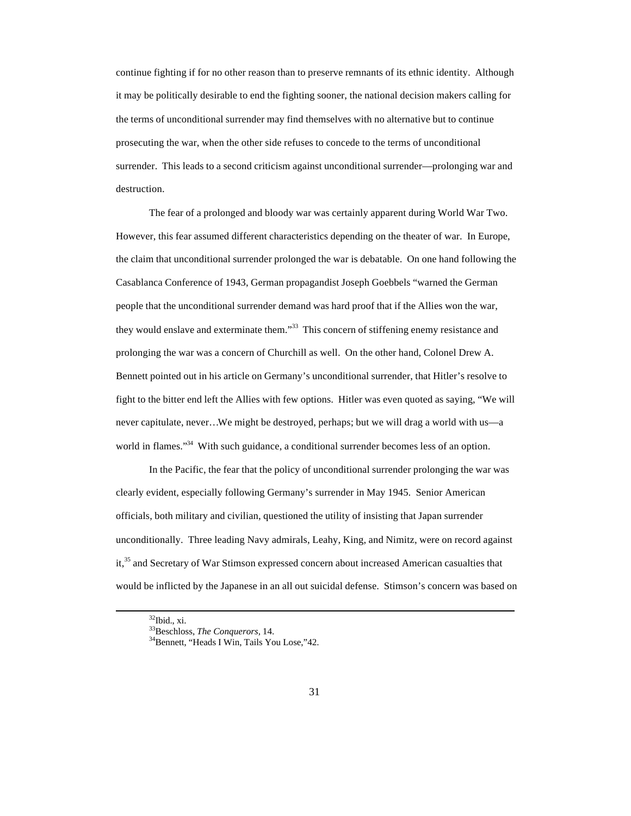continue fighting if for no other reason than to preserve remnants of its ethnic identity. Although it may be politically desirable to end the fighting sooner, the national decision makers calling for the terms of unconditional surrender may find themselves with no alternative but to continue prosecuting the war, when the other side refuses to concede to the terms of unconditional surrender. This leads to a second criticism against unconditional surrender—prolonging war and destruction.

The fear of a prolonged and bloody war was certainly apparent during World War Two. However, this fear assumed different characteristics depending on the theater of war. In Europe, the claim that unconditional surrender prolonged the war is debatable. On one hand following the Casablanca Conference of 1943, German propagandist Joseph Goebbels "warned the German people that the unconditional surrender demand was hard proof that if the Allies won the war, they would enslave and exterminate them."<sup>33</sup> This concern of stiffening enemy resistance and prolonging the war was a concern of Churchill as well. On the other hand, Colonel Drew A. Bennett pointed out in his article on Germany's unconditional surrender, that Hitler's resolve to fight to the bitter end left the Allies with few options. Hitler was even quoted as saying, "We will never capitulate, never…We might be destroyed, perhaps; but we will drag a world with us—a world in flames."<sup>34</sup> With such guidance, a conditional surrender becomes less of an option.

In the Pacific, the fear that the policy of unconditional surrender prolonging the war was clearly evident, especially following Germany's surrender in May 1945. Senior American officials, both military and civilian, questioned the utility of insisting that Japan surrender unconditionally. Three leading Navy admirals, Leahy, King, and Nimitz, were on record against it,<sup>35</sup> and Secretary of War Stimson expressed concern about increased American casualties that would be inflicted by the Japanese in an all out suicidal defense. Stimson's concern was based on

 $32$ Ibid., xi.

<sup>33</sup>Beschloss, *The Conquerors,* 14.

<sup>34</sup>Bennett, "Heads I Win, Tails You Lose,"42.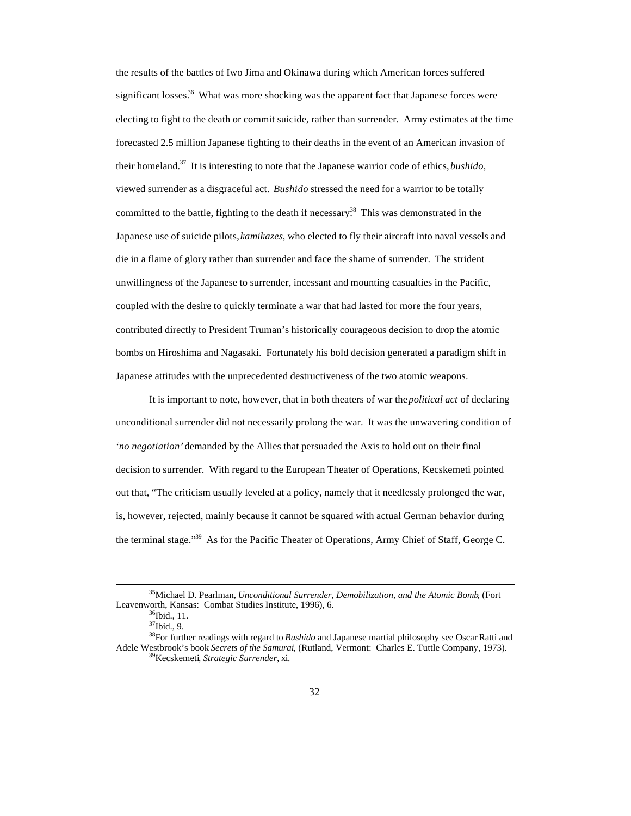the results of the battles of Iwo Jima and Okinawa during which American forces suffered significant losses.<sup>36</sup> What was more shocking was the apparent fact that Japanese forces were electing to fight to the death or commit suicide, rather than surrender. Army estimates at the time forecasted 2.5 million Japanese fighting to their deaths in the event of an American invasion of their homeland.<sup>37</sup> It is interesting to note that the Japanese warrior code of ethics, *bushido,* viewed surrender as a disgraceful act. *Bushido* stressed the need for a warrior to be totally committed to the battle, fighting to the death if necessary.<sup>38</sup> This was demonstrated in the Japanese use of suicide pilots, *kamikazes*, who elected to fly their aircraft into naval vessels and die in a flame of glory rather than surrender and face the shame of surrender. The strident unwillingness of the Japanese to surrender, incessant and mounting casualties in the Pacific, coupled with the desire to quickly terminate a war that had lasted for more the four years, contributed directly to President Truman's historically courageous decision to drop the atomic bombs on Hiroshima and Nagasaki. Fortunately his bold decision generated a paradigm shift in Japanese attitudes with the unprecedented destructiveness of the two atomic weapons.

It is important to note, however, that in both theaters of war the *political act* of declaring unconditional surrender did not necessarily prolong the war. It was the unwavering condition of '*no negotiation'* demanded by the Allies that persuaded the Axis to hold out on their final decision to surrender. With regard to the European Theater of Operations, Kecskemeti pointed out that, "The criticism usually leveled at a policy, namely that it needlessly prolonged the war, is, however, rejected, mainly because it cannot be squared with actual German behavior during the terminal stage."<sup>39</sup> As for the Pacific Theater of Operations, Army Chief of Staff, George C.

<sup>35</sup>Michael D. Pearlman, *Unconditional Surrender, Demobilization, and the Atomic Bomb*, (Fort Leavenworth, Kansas: Combat Studies Institute, 1996), 6.

 $36$ Ibid., 11.

 $37$ Ibid., 9.

<sup>38</sup>For further readings with regard to *Bushido* and Japanese martial philosophy see Oscar Ratti and Adele Westbrook's book *Secrets of the Samurai*, (Rutland, Vermont: Charles E. Tuttle Company, 1973). <sup>39</sup>Kecskemeti*, Strategic Surrender,* xi.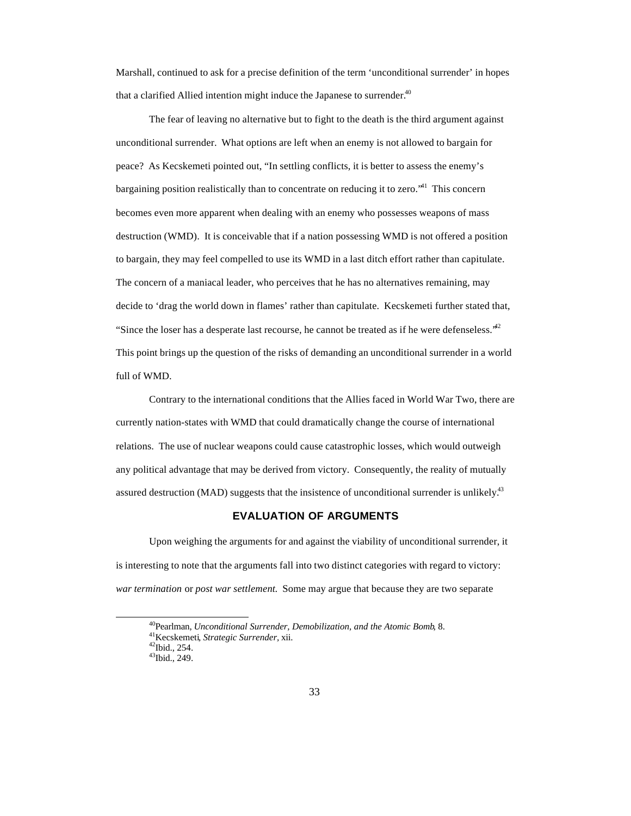Marshall, continued to ask for a precise definition of the term 'unconditional surrender' in hopes that a clarified Allied intention might induce the Japanese to surrender.<sup>40</sup>

The fear of leaving no alternative but to fight to the death is the third argument against unconditional surrender. What options are left when an enemy is not allowed to bargain for peace? As Kecskemeti pointed out, "In settling conflicts, it is better to assess the enemy's bargaining position realistically than to concentrate on reducing it to zero.<sup>41</sup> This concern becomes even more apparent when dealing with an enemy who possesses weapons of mass destruction (WMD). It is conceivable that if a nation possessing WMD is not offered a position to bargain, they may feel compelled to use its WMD in a last ditch effort rather than capitulate. The concern of a maniacal leader, who perceives that he has no alternatives remaining, may decide to 'drag the world down in flames' rather than capitulate. Kecskemeti further stated that, "Since the loser has a desperate last recourse, he cannot be treated as if he were defenseless."<sup>42</sup> This point brings up the question of the risks of demanding an unconditional surrender in a world full of WMD.

Contrary to the international conditions that the Allies faced in World War Two, there are currently nation-states with WMD that could dramatically change the course of international relations. The use of nuclear weapons could cause catastrophic losses, which would outweigh any political advantage that may be derived from victory. Consequently, the reality of mutually assured destruction (MAD) suggests that the insistence of unconditional surrender is unlikely.<sup>43</sup>

## **EVALUATION OF ARGUMENTS**

Upon weighing the arguments for and against the viability of unconditional surrender, it is interesting to note that the arguments fall into two distinct categories with regard to victory: *war termination* or *post war settlement*. Some may argue that because they are two separate

<sup>40</sup>Pearlman, *Unconditional Surrender, Demobilization, and the Atomic Bomb*, 8.

<sup>41</sup>Kecskemeti*, Strategic Surrender,* xii.

<sup>42</sup>Ibid., 254.

<sup>43</sup>Ibid., 249.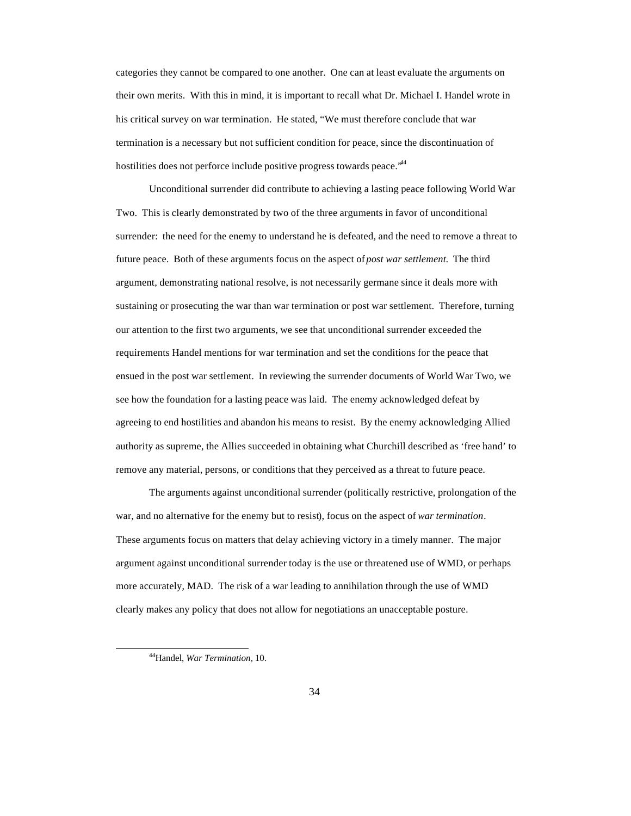categories they cannot be compared to one another. One can at least evaluate the arguments on their own merits. With this in mind, it is important to recall what Dr. Michael I. Handel wrote in his critical survey on war termination. He stated, "We must therefore conclude that war termination is a necessary but not sufficient condition for peace, since the discontinuation of hostilities does not perforce include positive progress towards peace.<sup>\*44</sup>

Unconditional surrender did contribute to achieving a lasting peace following World War Two. This is clearly demonstrated by two of the three arguments in favor of unconditional surrender: the need for the enemy to understand he is defeated, and the need to remove a threat to future peace. Both of these arguments focus on the aspect of *post war settlement*. The third argument, demonstrating national resolve, is not necessarily germane since it deals more with sustaining or prosecuting the war than war termination or post war settlement. Therefore, turning our attention to the first two arguments, we see that unconditional surrender exceeded the requirements Handel mentions for war termination and set the conditions for the peace that ensued in the post war settlement. In reviewing the surrender documents of World War Two, we see how the foundation for a lasting peace was laid. The enemy acknowledged defeat by agreeing to end hostilities and abandon his means to resist. By the enemy acknowledging Allied authority as supreme, the Allies succeeded in obtaining what Churchill described as 'free hand' to remove any material, persons, or conditions that they perceived as a threat to future peace.

The arguments against unconditional surrender (politically restrictive, prolongation of the war, and no alternative for the enemy but to resist), focus on the aspect of *war termination*. These arguments focus on matters that delay achieving victory in a timely manner. The major argument against unconditional surrender today is the use or threatened use of WMD, or perhaps more accurately, MAD. The risk of a war leading to annihilation through the use of WMD clearly makes any policy that does not allow for negotiations an unacceptable posture.

<sup>44</sup>Handel, *War Termination,* 10.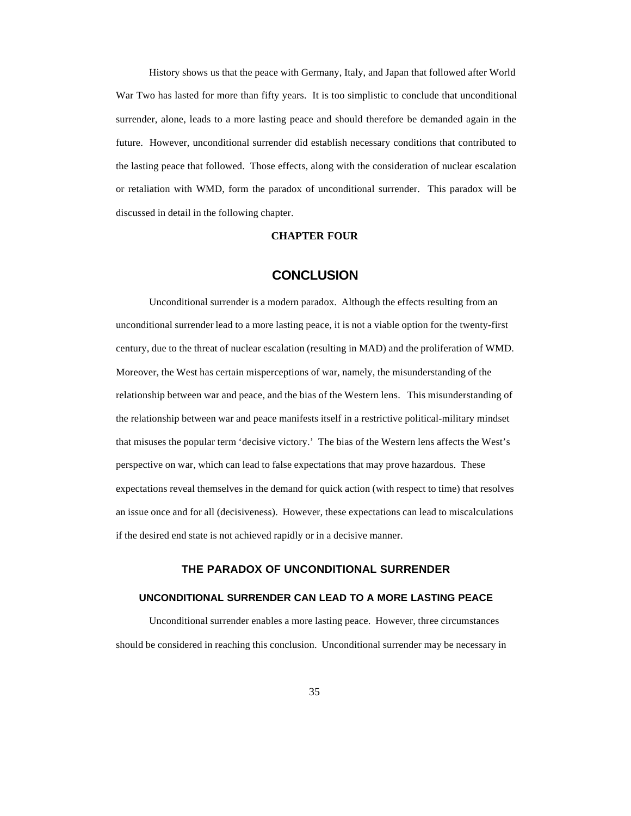History shows us that the peace with Germany, Italy, and Japan that followed after World War Two has lasted for more than fifty years. It is too simplistic to conclude that unconditional surrender, alone, leads to a more lasting peace and should therefore be demanded again in the future. However, unconditional surrender did establish necessary conditions that contributed to the lasting peace that followed. Those effects, along with the consideration of nuclear escalation or retaliation with WMD, form the paradox of unconditional surrender. This paradox will be discussed in detail in the following chapter.

#### **CHAPTER FOUR**

## **CONCLUSION**

Unconditional surrender is a modern paradox. Although the effects resulting from an unconditional surrender lead to a more lasting peace, it is not a viable option for the twenty-first century, due to the threat of nuclear escalation (resulting in MAD) and the proliferation of WMD. Moreover, the West has certain misperceptions of war, namely, the misunderstanding of the relationship between war and peace, and the bias of the Western lens. This misunderstanding of the relationship between war and peace manifests itself in a restrictive political-military mindset that misuses the popular term 'decisive victory.' The bias of the Western lens affects the West's perspective on war, which can lead to false expectations that may prove hazardous. These expectations reveal themselves in the demand for quick action (with respect to time) that resolves an issue once and for all (decisiveness). However, these expectations can lead to miscalculations if the desired end state is not achieved rapidly or in a decisive manner.

### **THE PARADOX OF UNCONDITIONAL SURRENDER**

#### **UNCONDITIONAL SURRENDER CAN LEAD TO A MORE LASTING PEACE**

Unconditional surrender enables a more lasting peace. However, three circumstances should be considered in reaching this conclusion. Unconditional surrender may be necessary in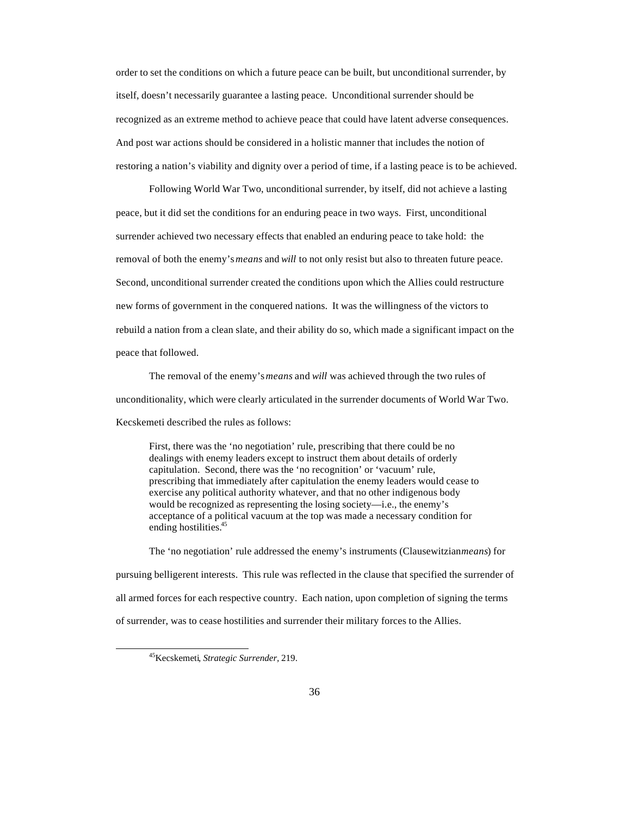order to set the conditions on which a future peace can be built, but unconditional surrender, by itself, doesn't necessarily guarantee a lasting peace. Unconditional surrender should be recognized as an extreme method to achieve peace that could have latent adverse consequences. And post war actions should be considered in a holistic manner that includes the notion of restoring a nation's viability and dignity over a period of time, if a lasting peace is to be achieved.

Following World War Two, unconditional surrender, by itself, did not achieve a lasting peace, but it did set the conditions for an enduring peace in two ways. First, unconditional surrender achieved two necessary effects that enabled an enduring peace to take hold: the removal of both the enemy's *means* and *will* to not only resist but also to threaten future peace. Second, unconditional surrender created the conditions upon which the Allies could restructure new forms of government in the conquered nations. It was the willingness of the victors to rebuild a nation from a clean slate, and their ability do so, which made a significant impact on the peace that followed.

The removal of the enemy's *means* and *will* was achieved through the two rules of unconditionality, which were clearly articulated in the surrender documents of World War Two. Kecskemeti described the rules as follows:

First, there was the 'no negotiation' rule, prescribing that there could be no dealings with enemy leaders except to instruct them about details of orderly capitulation. Second, there was the 'no recognition' or 'vacuum' rule, prescribing that immediately after capitulation the enemy leaders would cease to exercise any political authority whatever, and that no other indigenous body would be recognized as representing the losing society—i.e., the enemy's acceptance of a political vacuum at the top was made a necessary condition for ending hostilities.<sup>45</sup>

The 'no negotiation' rule addressed the enemy's instruments (Clausewitzian *means*) for pursuing belligerent interests. This rule was reflected in the clause that specified the surrender of all armed forces for each respective country. Each nation, upon completion of signing the terms of surrender, was to cease hostilities and surrender their military forces to the Allies.

<sup>45</sup>Kecskemeti*, Strategic Surrender,* 219.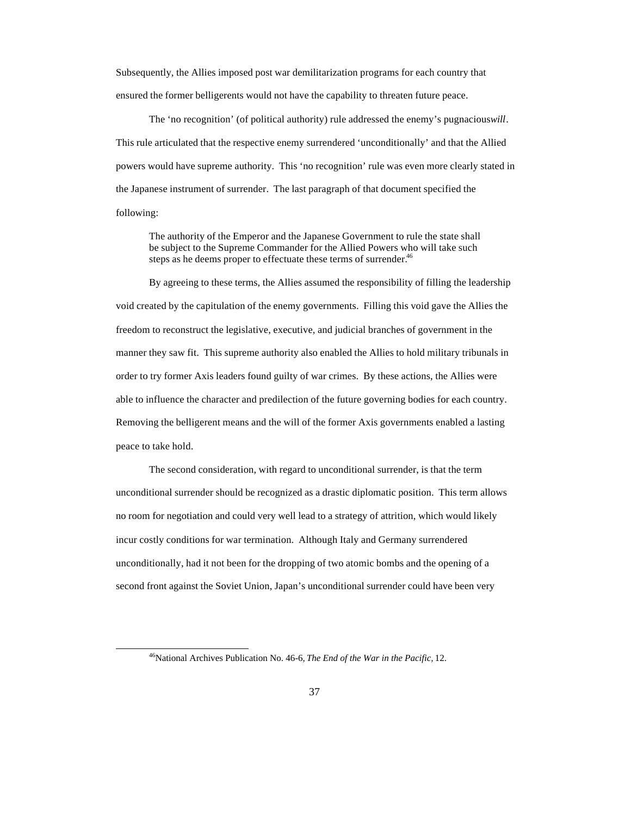Subsequently, the Allies imposed post war demilitarization programs for each country that ensured the former belligerents would not have the capability to threaten future peace.

The 'no recognition' (of political authority) rule addressed the enemy's pugnacious *will*. This rule articulated that the respective enemy surrendered 'unconditionally' and that the Allied powers would have supreme authority. This 'no recognition' rule was even more clearly stated in the Japanese instrument of surrender. The last paragraph of that document specified the following:

The authority of the Emperor and the Japanese Government to rule the state shall be subject to the Supreme Commander for the Allied Powers who will take such steps as he deems proper to effectuate these terms of surrender.<sup>46</sup>

By agreeing to these terms, the Allies assumed the responsibility of filling the leadership void created by the capitulation of the enemy governments. Filling this void gave the Allies the freedom to reconstruct the legislative, executive, and judicial branches of government in the manner they saw fit. This supreme authority also enabled the Allies to hold military tribunals in order to try former Axis leaders found guilty of war crimes. By these actions, the Allies were able to influence the character and predilection of the future governing bodies for each country. Removing the belligerent means and the will of the former Axis governments enabled a lasting peace to take hold.

The second consideration, with regard to unconditional surrender, is that the term unconditional surrender should be recognized as a drastic diplomatic position. This term allows no room for negotiation and could very well lead to a strategy of attrition, which would likely incur costly conditions for war termination. Although Italy and Germany surrendered unconditionally, had it not been for the dropping of two atomic bombs and the opening of a second front against the Soviet Union, Japan's unconditional surrender could have been very

<sup>46</sup>National Archives Publication No. 46-6, *The End of the War in the Pacific,* 12.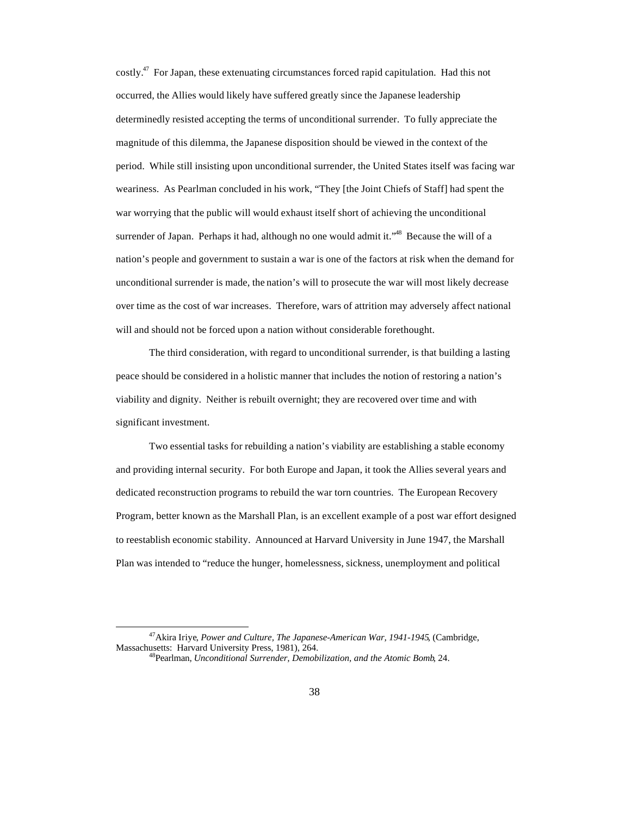costly.<sup>47</sup> For Japan, these extenuating circumstances forced rapid capitulation. Had this not occurred, the Allies would likely have suffered greatly since the Japanese leadership determinedly resisted accepting the terms of unconditional surrender. To fully appreciate the magnitude of this dilemma, the Japanese disposition should be viewed in the context of the period. While still insisting upon unconditional surrender, the United States itself was facing war weariness. As Pearlman concluded in his work, "They [the Joint Chiefs of Staff] had spent the war worrying that the public will would exhaust itself short of achieving the unconditional surrender of Japan. Perhaps it had, although no one would admit it."<sup>48</sup> Because the will of a nation's people and government to sustain a war is one of the factors at risk when the demand for unconditional surrender is made, the nation's will to prosecute the war will most likely decrease over time as the cost of war increases. Therefore, wars of attrition may adversely affect national will and should not be forced upon a nation without considerable forethought.

The third consideration, with regard to unconditional surrender, is that building a lasting peace should be considered in a holistic manner that includes the notion of restoring a nation's viability and dignity. Neither is rebuilt overnight; they are recovered over time and with significant investment.

Two essential tasks for rebuilding a nation's viability are establishing a stable economy and providing internal security. For both Europe and Japan, it took the Allies several years and dedicated reconstruction programs to rebuild the war torn countries. The European Recovery Program, better known as the Marshall Plan, is an excellent example of a post war effort designed to reestablish economic stability. Announced at Harvard University in June 1947, the Marshall Plan was intended to "reduce the hunger, homelessness, sickness, unemployment and political

<sup>47</sup>Akira Iriye, *Power and Culture, The Japanese-American War, 1941-1945*, (Cambridge, Massachusetts: Harvard University Press, 1981), 264.

<sup>48</sup>Pearlman, *Unconditional Surrender, Demobilization, and the Atomic Bomb*, 24.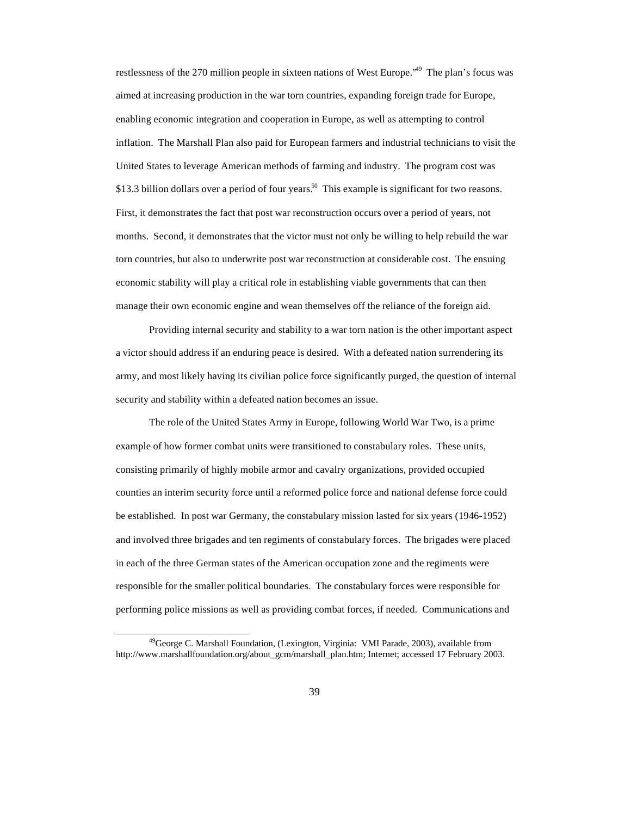restlessness of the 270 million people in sixteen nations of West Europe."<sup>49</sup> The plan's focus was aimed at increasing production in the war torn countries, expanding foreign trade for Europe, enabling economic integration and cooperation in Europe, as well as attempting to control inflation. The Marshall Plan also paid for European farmers and industrial technicians to visit the United States to leverage American methods of farming and industry. The program cost was \$13.3 billion dollars over a period of four years.<sup>50</sup> This example is significant for two reasons. First, it demonstrates the fact that post war reconstruction occurs over a period of years, not months. Second, it demonstrates that the victor must not only be willing to help rebuild the war torn countries, but also to underwrite post war reconstruction at considerable cost. The ensuing economic stability will play a critical role in establishing viable governments that can then manage their own economic engine and wean themselves off the reliance of the foreign aid.

Providing internal security and stability to a war torn nation is the other important aspect a victor should address if an enduring peace is desired. With a defeated nation surrendering its army, and most likely having its civilian police force significantly purged, the question of internal security and stability within a defeated nation becomes an issue.

The role of the United States Army in Europe, following World War Two, is a prime example of how former combat units were transitioned to constabulary roles. These units, consisting primarily of highly mobile armor and cavalry organizations, provided occupied counties an interim security force until a reformed police force and national defense force could be established. In post war Germany, the constabulary mission lasted for six years (1946-1952) and involved three brigades and ten regiments of constabulary forces. The brigades were placed in each of the three German states of the American occupation zone and the regiments were responsible for the smaller political boundaries. The constabulary forces were responsible for performing police missions as well as providing combat forces, if needed. Communications and

<sup>&</sup>lt;sup>49</sup>George C. Marshall Foundation, (Lexington, Virginia: VMI Parade, 2003), available from http://www.marshallfoundation.org/about\_gcm/marshall\_plan.htm; Internet; accessed 17 February 2003.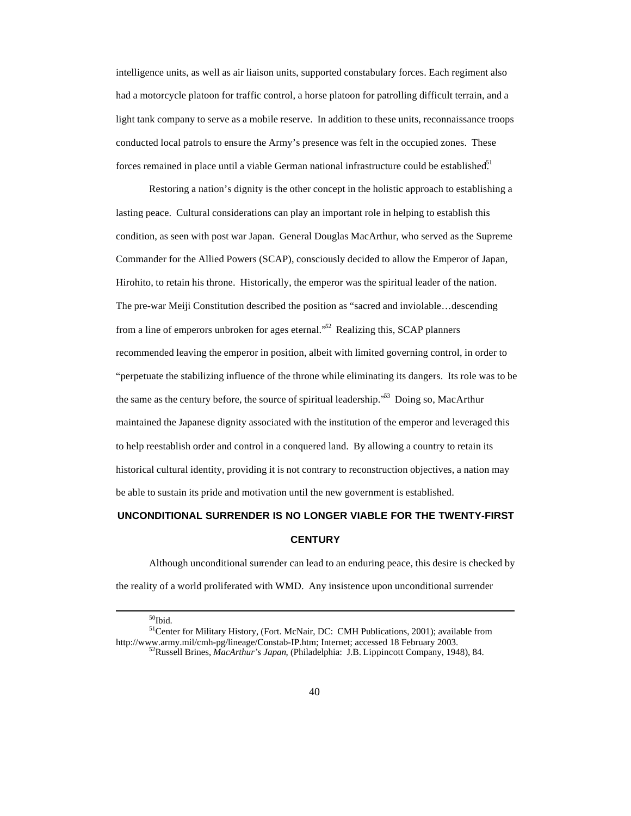intelligence units, as well as air liaison units, supported constabulary forces. Each regiment also had a motorcycle platoon for traffic control, a horse platoon for patrolling difficult terrain, and a light tank company to serve as a mobile reserve. In addition to these units, reconnaissance troops conducted local patrols to ensure the Army's presence was felt in the occupied zones. These forces remained in place until a viable German national infrastructure could be established.<sup>51</sup>

Restoring a nation's dignity is the other concept in the holistic approach to establishing a lasting peace. Cultural considerations can play an important role in helping to establish this condition, as seen with post war Japan. General Douglas MacArthur, who served as the Supreme Commander for the Allied Powers (SCAP), consciously decided to allow the Emperor of Japan, Hirohito, to retain his throne. Historically, the emperor was the spiritual leader of the nation. The pre-war Meiji Constitution described the position as "sacred and inviolable…descending from a line of emperors unbroken for ages eternal.<sup>52</sup> Realizing this, SCAP planners recommended leaving the emperor in position, albeit with limited governing control, in order to "perpetuate the stabilizing influence of the throne while eliminating its dangers. Its role was to be the same as the century before, the source of spiritual leadership."<sup>53</sup> Doing so, MacArthur maintained the Japanese dignity associated with the institution of the emperor and leveraged this to help reestablish order and control in a conquered land. By allowing a country to retain its historical cultural identity, providing it is not contrary to reconstruction objectives, a nation may be able to sustain its pride and motivation until the new government is established.

# **UNCONDITIONAL SURRENDER IS NO LONGER VIABLE FOR THE TWENTY-FIRST CENTURY**

Although unconditional surrender can lead to an enduring peace, this desire is checked by the reality of a world proliferated with WMD. Any insistence upon unconditional surrender

 $50$ Ibid.

<sup>51</sup>Center for Military History, (Fort. McNair, DC: CMH Publications, 2001); available from http://www.army.mil/cmh-pg/lineage/Constab-IP.htm; Internet; accessed 18 February 2003. <sup>52</sup>Russell Brines, *MacArthur's Japan*, (Philadelphia: J.B. Lippincott Company, 1948), 84.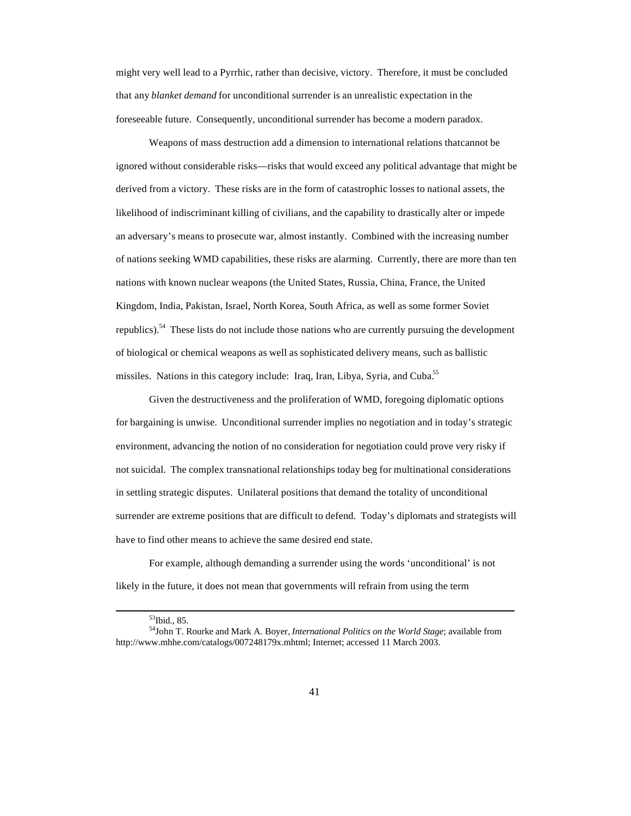might very well lead to a Pyrrhic, rather than decisive, victory. Therefore, it must be concluded that any *blanket demand* for unconditional surrender is an unrealistic expectation in the foreseeable future. Consequently, unconditional surrender has become a modern paradox.

Weapons of mass destruction add a dimension to international relations that cannot be ignored without considerable risks—risks that would exceed any political advantage that might be derived from a victory. These risks are in the form of catastrophic losses to national assets, the likelihood of indiscriminant killing of civilians, and the capability to drastically alter or impede an adversary's means to prosecute war, almost instantly. Combined with the increasing number of nations seeking WMD capabilities, these risks are alarming. Currently, there are more than ten nations with known nuclear weapons (the United States, Russia, China, France, the United Kingdom, India, Pakistan, Israel, North Korea, South Africa, as well as some former Soviet republics).<sup>54</sup> These lists do not include those nations who are currently pursuing the development of biological or chemical weapons as well as sophisticated delivery means, such as ballistic missiles. Nations in this category include: Iraq, Iran, Libya, Syria, and Cuba.<sup>55</sup>

Given the destructiveness and the proliferation of WMD, foregoing diplomatic options for bargaining is unwise. Unconditional surrender implies no negotiation and in today's strategic environment, advancing the notion of no consideration for negotiation could prove very risky if not suicidal. The complex transnational relationships today beg for multinational considerations in settling strategic disputes. Unilateral positions that demand the totality of unconditional surrender are extreme positions that are difficult to defend. Today's diplomats and strategists will have to find other means to achieve the same desired end state.

For example, although demanding a surrender using the words 'unconditional' is not likely in the future, it does not mean that governments will refrain from using the term

<sup>53</sup>Ibid., 85.

<sup>54</sup>John T. Rourke and Mark A. Boyer, *International Politics on the World Stage*; available from http://www.mhhe.com/catalogs/007248179x.mhtml; Internet; accessed 11 March 2003.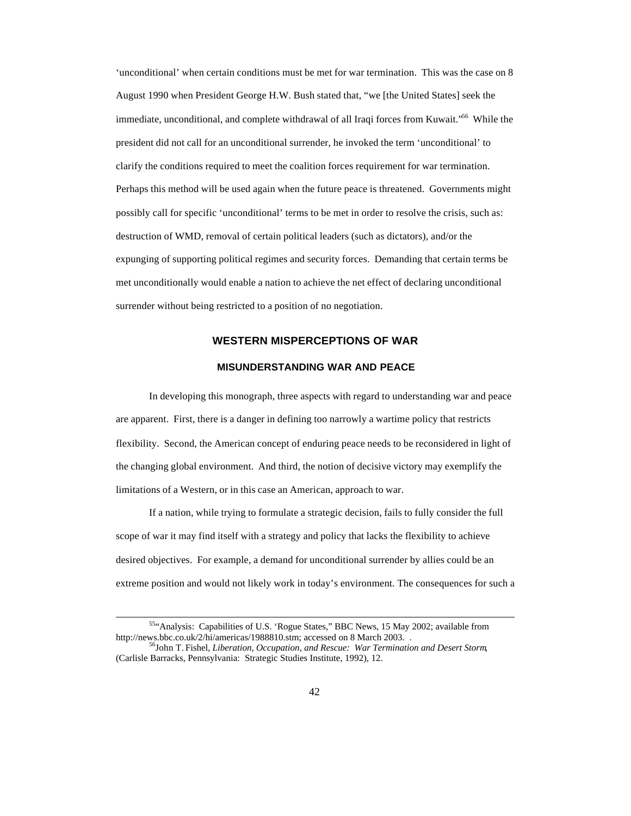'unconditional' when certain conditions must be met for war termination. This was the case on 8 August 1990 when President George H.W. Bush stated that, "we [the United States] seek the immediate, unconditional, and complete withdrawal of all Iraqi forces from Kuwait.<sup>556</sup> While the president did not call for an unconditional surrender, he invoked the term 'unconditional' to clarify the conditions required to meet the coalition forces requirement for war termination. Perhaps this method will be used again when the future peace is threatened. Governments might possibly call for specific 'unconditional' terms to be met in order to resolve the crisis, such as: destruction of WMD, removal of certain political leaders (such as dictators), and/or the expunging of supporting political regimes and security forces. Demanding that certain terms be met unconditionally would enable a nation to achieve the net effect of declaring unconditional surrender without being restricted to a position of no negotiation.

## **WESTERN MISPERCEPTIONS OF WAR**

### **MISUNDERSTANDING WAR AND PEACE**

In developing this monograph, three aspects with regard to understanding war and peace are apparent. First, there is a danger in defining too narrowly a wartime policy that restricts flexibility. Second, the American concept of enduring peace needs to be reconsidered in light of the changing global environment. And third, the notion of decisive victory may exemplify the limitations of a Western, or in this case an American, approach to war.

If a nation, while trying to formulate a strategic decision, fails to fully consider the full scope of war it may find itself with a strategy and policy that lacks the flexibility to achieve desired objectives. For example, a demand for unconditional surrender by allies could be an extreme position and would not likely work in today's environment. The consequences for such a

<sup>55</sup>"Analysis: Capabilities of U.S. 'Rogue States," BBC News, 15 May 2002; available from http://news.bbc.co.uk/2/hi/americas/1988810.stm; accessed on 8 March 2003. .

<sup>56</sup>John T. Fishel, *Liberation, Occupation, and Rescue: War Termination and Desert Storm*, (Carlisle Barracks, Pennsylvania: Strategic Studies Institute, 1992), 12.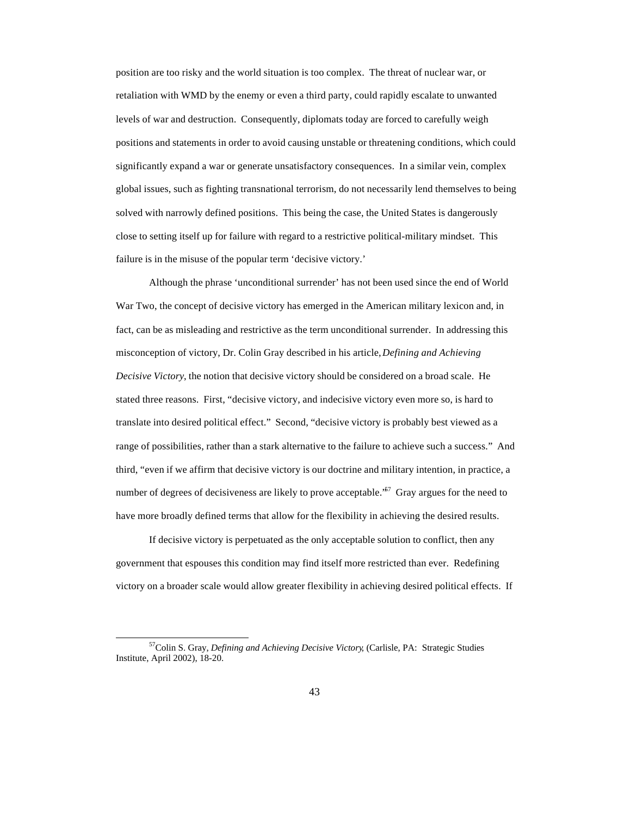position are too risky and the world situation is too complex. The threat of nuclear war, or retaliation with WMD by the enemy or even a third party, could rapidly escalate to unwanted levels of war and destruction. Consequently, diplomats today are forced to carefully weigh positions and statements in order to avoid causing unstable or threatening conditions, which could significantly expand a war or generate unsatisfactory consequences. In a similar vein, complex global issues, such as fighting transnational terrorism, do not necessarily lend themselves to being solved with narrowly defined positions. This being the case, the United States is dangerously close to setting itself up for failure with regard to a restrictive political-military mindset. This failure is in the misuse of the popular term 'decisive victory.'

Although the phrase 'unconditional surrender' has not been used since the end of World War Two, the concept of decisive victory has emerged in the American military lexicon and, in fact, can be as misleading and restrictive as the term unconditional surrender. In addressing this misconception of victory, Dr. Colin Gray described in his article, *Defining and Achieving Decisive Victory*, the notion that decisive victory should be considered on a broad scale. He stated three reasons. First, "decisive victory, and indecisive victory even more so, is hard to translate into desired political effect." Second, "decisive victory is probably best viewed as a range of possibilities, rather than a stark alternative to the failure to achieve such a success." And third, "even if we affirm that decisive victory is our doctrine and military intention, in practice, a number of degrees of decisiveness are likely to prove acceptable.<sup> $57$ </sup> Gray argues for the need to have more broadly defined terms that allow for the flexibility in achieving the desired results.

If decisive victory is perpetuated as the only acceptable solution to conflict, then any government that espouses this condition may find itself more restricted than ever. Redefining victory on a broader scale would allow greater flexibility in achieving desired political effects. If

<sup>57</sup>Colin S. Gray, *Defining and Achieving Decisive Victory*, (Carlisle, PA: Strategic Studies Institute, April 2002), 18-20.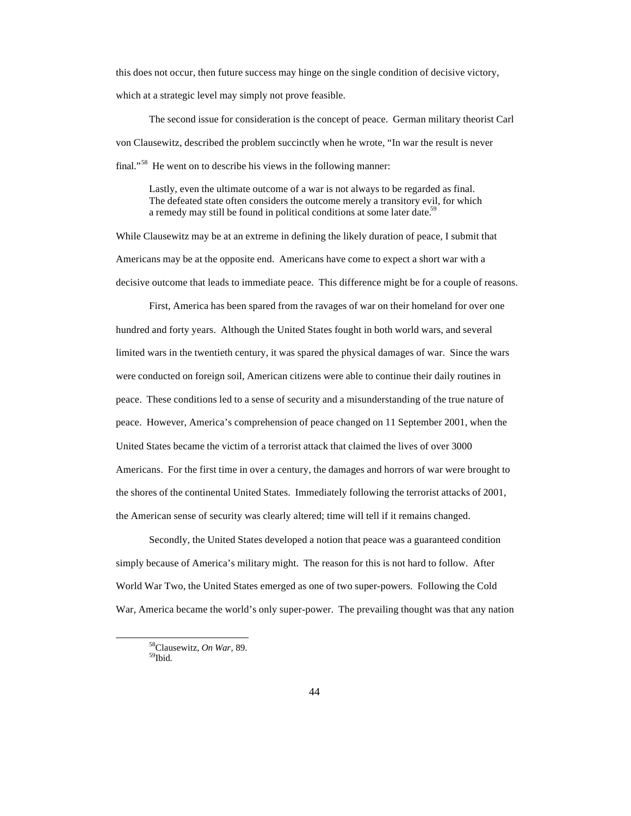this does not occur, then future success may hinge on the single condition of decisive victory, which at a strategic level may simply not prove feasible.

The second issue for consideration is the concept of peace. German military theorist Carl von Clausewitz, described the problem succinctly when he wrote, "In war the result is never final."<sup>58</sup> He went on to describe his views in the following manner:

Lastly, even the ultimate outcome of a war is not always to be regarded as final. The defeated state often considers the outcome merely a transitory evil, for which a remedy may still be found in political conditions at some later date.<sup>59</sup>

While Clausewitz may be at an extreme in defining the likely duration of peace, I submit that Americans may be at the opposite end. Americans have come to expect a short war with a decisive outcome that leads to immediate peace. This difference might be for a couple of reasons.

First, America has been spared from the ravages of war on their homeland for over one hundred and forty years. Although the United States fought in both world wars, and several limited wars in the twentieth century, it was spared the physical damages of war. Since the wars were conducted on foreign soil, American citizens were able to continue their daily routines in peace. These conditions led to a sense of security and a misunderstanding of the true nature of peace. However, America's comprehension of peace changed on 11 September 2001, when the United States became the victim of a terrorist attack that claimed the lives of over 3000 Americans. For the first time in over a century, the damages and horrors of war were brought to the shores of the continental United States. Immediately following the terrorist attacks of 2001, the American sense of security was clearly altered; time will tell if it remains changed.

Secondly, the United States developed a notion that peace was a guaranteed condition simply because of America's military might. The reason for this is not hard to follow. After World War Two, the United States emerged as one of two super-powers. Following the Cold War, America became the world's only super-power. The prevailing thought was that any nation

<sup>58</sup>Clausewitz, *On War*, 89. <sup>59</sup>Ibid.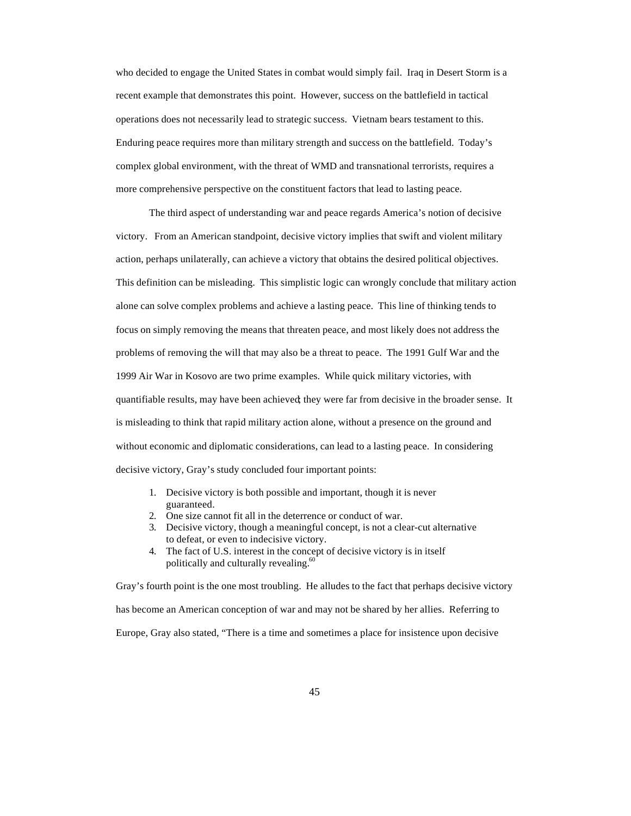who decided to engage the United States in combat would simply fail. Iraq in Desert Storm is a recent example that demonstrates this point. However, success on the battlefield in tactical operations does not necessarily lead to strategic success. Vietnam bears testament to this. Enduring peace requires more than military strength and success on the battlefield. Today's complex global environment, with the threat of WMD and transnational terrorists, requires a more comprehensive perspective on the constituent factors that lead to lasting peace.

The third aspect of understanding war and peace regards America's notion of decisive victory. From an American standpoint, decisive victory implies that swift and violent military action, perhaps unilaterally, can achieve a victory that obtains the desired political objectives. This definition can be misleading. This simplistic logic can wrongly conclude that military action alone can solve complex problems and achieve a lasting peace. This line of thinking tends to focus on simply removing the means that threaten peace, and most likely does not address the problems of removing the will that may also be a threat to peace. The 1991 Gulf War and the 1999 Air War in Kosovo are two prime examples. While quick military victories, with quantifiable results, may have been achieved; they were far from decisive in the broader sense. It is misleading to think that rapid military action alone, without a presence on the ground and without economic and diplomatic considerations, can lead to a lasting peace. In considering decisive victory, Gray's study concluded four important points:

- 1. Decisive victory is both possible and important, though it is never guaranteed.
- 2. One size cannot fit all in the deterrence or conduct of war.
- 3. Decisive victory, though a meaningful concept, is not a clear-cut alternative to defeat, or even to indecisive victory.
- 4. The fact of U.S. interest in the concept of decisive victory is in itself politically and culturally revealing.<sup>60</sup>

Gray's fourth point is the one most troubling. He alludes to the fact that perhaps decisive victory has become an American conception of war and may not be shared by her allies. Referring to Europe, Gray also stated, "There is a time and sometimes a place for insistence upon decisive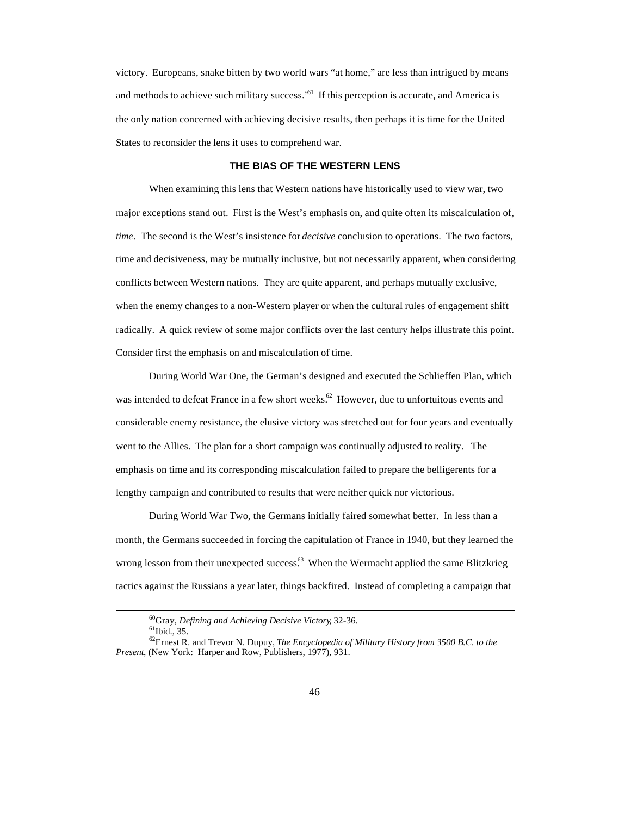victory. Europeans, snake bitten by two world wars "at home," are less than intrigued by means and methods to achieve such military success.<sup>561</sup> If this perception is accurate, and America is the only nation concerned with achieving decisive results, then perhaps it is time for the United States to reconsider the lens it uses to comprehend war.

#### **THE BIAS OF THE WESTERN LENS**

When examining this lens that Western nations have historically used to view war, two major exceptions stand out. First is the West's emphasis on, and quite often its miscalculation of, *time*. The second is the West's insistence for *decisive* conclusion to operations. The two factors, time and decisiveness, may be mutually inclusive, but not necessarily apparent, when considering conflicts between Western nations. They are quite apparent, and perhaps mutually exclusive, when the enemy changes to a non-Western player or when the cultural rules of engagement shift radically. A quick review of some major conflicts over the last century helps illustrate this point. Consider first the emphasis on and miscalculation of time.

During World War One, the German's designed and executed the Schlieffen Plan, which was intended to defeat France in a few short weeks.<sup>62</sup> However, due to unfortuitous events and considerable enemy resistance, the elusive victory was stretched out for four years and eventually went to the Allies. The plan for a short campaign was continually adjusted to reality. The emphasis on time and its corresponding miscalculation failed to prepare the belligerents for a lengthy campaign and contributed to results that were neither quick nor victorious.

During World War Two, the Germans initially faired somewhat better. In less than a month, the Germans succeeded in forcing the capitulation of France in 1940, but they learned the wrong lesson from their unexpected success.<sup>63</sup> When the Wermacht applied the same Blitzkrieg tactics against the Russians a year later, things backfired. Instead of completing a campaign that

<sup>60</sup>Gray, *Defining and Achieving Decisive Victory*, 32-36.

 ${}^{61}$ Ibid., 35.

<sup>62</sup>Ernest R. and Trevor N. Dupuy, *The Encyclopedia of Military History from 3500 B.C. to the Present*, (New York: Harper and Row, Publishers, 1977), 931.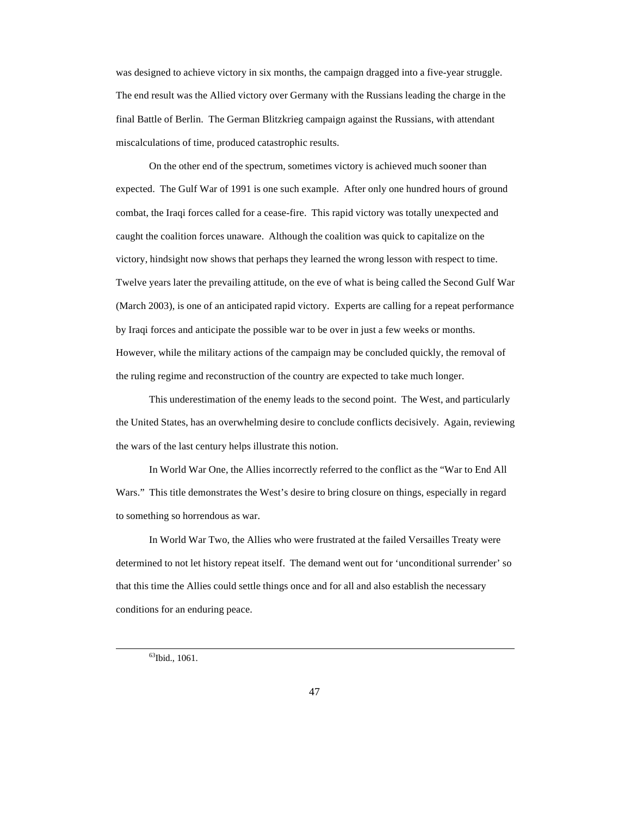was designed to achieve victory in six months, the campaign dragged into a five-year struggle. The end result was the Allied victory over Germany with the Russians leading the charge in the final Battle of Berlin. The German Blitzkrieg campaign against the Russians, with attendant miscalculations of time, produced catastrophic results.

On the other end of the spectrum, sometimes victory is achieved much sooner than expected. The Gulf War of 1991 is one such example. After only one hundred hours of ground combat, the Iraqi forces called for a cease-fire. This rapid victory was totally unexpected and caught the coalition forces unaware. Although the coalition was quick to capitalize on the victory, hindsight now shows that perhaps they learned the wrong lesson with respect to time. Twelve years later the prevailing attitude, on the eve of what is being called the Second Gulf War (March 2003), is one of an anticipated rapid victory. Experts are calling for a repeat performance by Iraqi forces and anticipate the possible war to be over in just a few weeks or months. However, while the military actions of the campaign may be concluded quickly, the removal of the ruling regime and reconstruction of the country are expected to take much longer.

This underestimation of the enemy leads to the second point. The West, and particularly the United States, has an overwhelming desire to conclude conflicts decisively. Again, reviewing the wars of the last century helps illustrate this notion.

In World War One, the Allies incorrectly referred to the conflict as the "War to End All Wars." This title demonstrates the West's desire to bring closure on things, especially in regard to something so horrendous as war.

In World War Two, the Allies who were frustrated at the failed Versailles Treaty were determined to not let history repeat itself. The demand went out for 'unconditional surrender' so that this time the Allies could settle things once and for all and also establish the necessary conditions for an enduring peace.

<sup>63</sup>Ibid., 1061.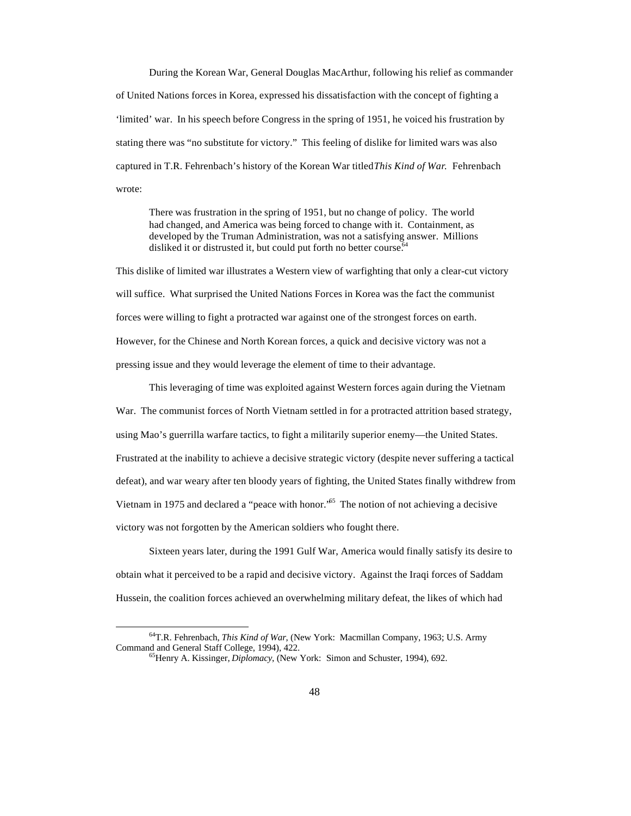During the Korean War, General Douglas MacArthur, following his relief as commander of United Nations forces in Korea, expressed his dissatisfaction with the concept of fighting a 'limited' war. In his speech before Congress in the spring of 1951, he voiced his frustration by stating there was "no substitute for victory." This feeling of dislike for limited wars was also captured in T.R. Fehrenbach's history of the Korean War titled *This Kind of War*. Fehrenbach wrote:

There was frustration in the spring of 1951, but no change of policy. The world had changed, and America was being forced to change with it. Containment, as developed by the Truman Administration, was not a satisfying answer. Millions disliked it or distrusted it, but could put forth no better course.<sup>64</sup>

This dislike of limited war illustrates a Western view of warfighting that only a clear-cut victory will suffice. What surprised the United Nations Forces in Korea was the fact the communist forces were willing to fight a protracted war against one of the strongest forces on earth. However, for the Chinese and North Korean forces, a quick and decisive victory was not a pressing issue and they would leverage the element of time to their advantage.

This leveraging of time was exploited against Western forces again during the Vietnam War. The communist forces of North Vietnam settled in for a protracted attrition based strategy, using Mao's guerrilla warfare tactics, to fight a militarily superior enemy—the United States. Frustrated at the inability to achieve a decisive strategic victory (despite never suffering a tactical defeat), and war weary after ten bloody years of fighting, the United States finally withdrew from Vietnam in 1975 and declared a "peace with honor.<sup>55</sup> The notion of not achieving a decisive victory was not forgotten by the American soldiers who fought there.

Sixteen years later, during the 1991 Gulf War, America would finally satisfy its desire to obtain what it perceived to be a rapid and decisive victory. Against the Iraqi forces of Saddam Hussein, the coalition forces achieved an overwhelming military defeat, the likes of which had

<sup>64</sup>T.R. Fehrenbach, *This Kind of War*, (New York: Macmillan Company, 1963; U.S. Army Command and General Staff College, 1994), 422.

<sup>65</sup>Henry A. Kissinger, *Diplomacy*, (New York: Simon and Schuster, 1994), 692.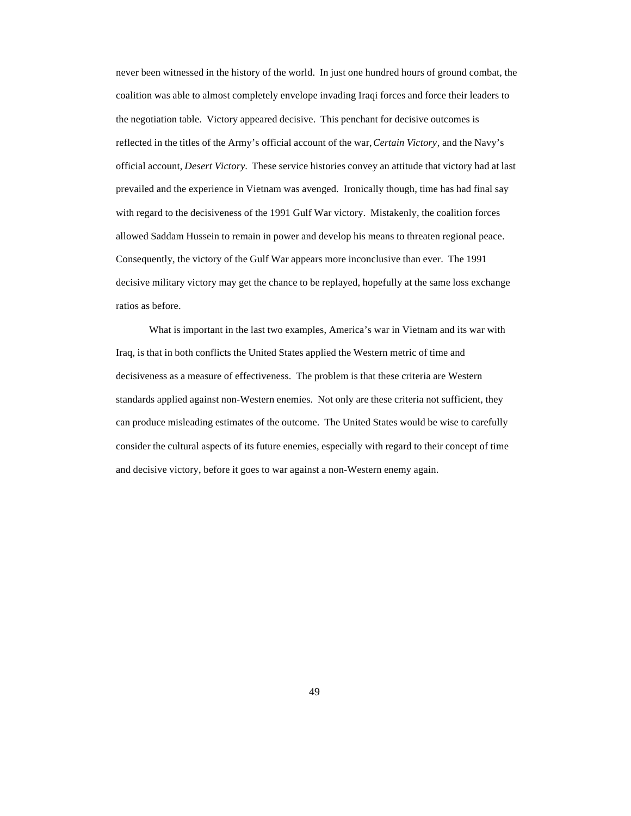never been witnessed in the history of the world. In just one hundred hours of ground combat, the coalition was able to almost completely envelope invading Iraqi forces and force their leaders to the negotiation table. Victory appeared decisive. This penchant for decisive outcomes is reflected in the titles of the Army's official account of the war, *Certain Victory*, and the Navy's official account, *Desert Victory*. These service histories convey an attitude that victory had at last prevailed and the experience in Vietnam was avenged. Ironically though, time has had final say with regard to the decisiveness of the 1991 Gulf War victory. Mistakenly, the coalition forces allowed Saddam Hussein to remain in power and develop his means to threaten regional peace. Consequently, the victory of the Gulf War appears more inconclusive than ever. The 1991 decisive military victory may get the chance to be replayed, hopefully at the same loss exchange ratios as before.

What is important in the last two examples, America's war in Vietnam and its war with Iraq, is that in both conflicts the United States applied the Western metric of time and decisiveness as a measure of effectiveness. The problem is that these criteria are Western standards applied against non-Western enemies. Not only are these criteria not sufficient, they can produce misleading estimates of the outcome. The United States would be wise to carefully consider the cultural aspects of its future enemies, especially with regard to their concept of time and decisive victory, before it goes to war against a non-Western enemy again.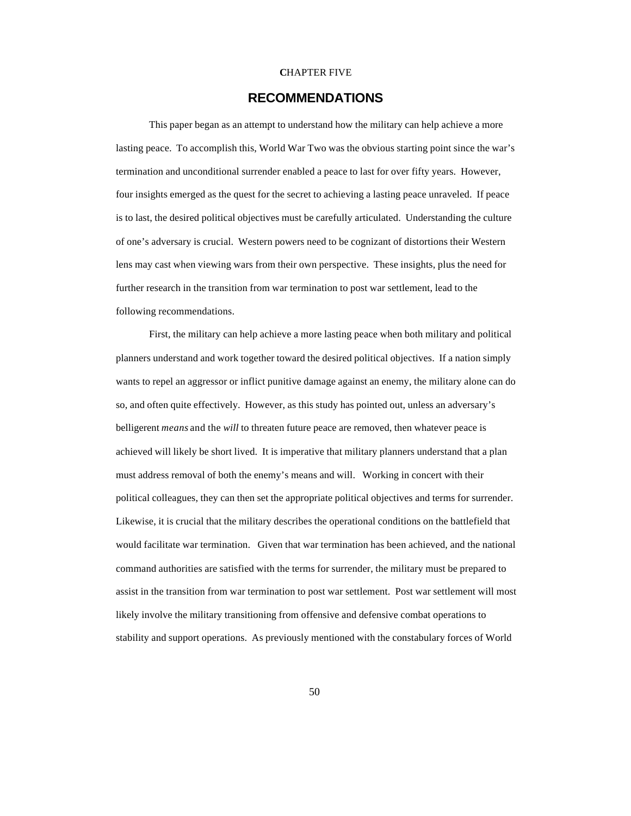#### **C**HAPTER FIVE

## **RECOMMENDATIONS**

This paper began as an attempt to understand how the military can help achieve a more lasting peace. To accomplish this, World War Two was the obvious starting point since the war's termination and unconditional surrender enabled a peace to last for over fifty years. However, four insights emerged as the quest for the secret to achieving a lasting peace unraveled. If peace is to last, the desired political objectives must be carefully articulated. Understanding the culture of one's adversary is crucial. Western powers need to be cognizant of distortions their Western lens may cast when viewing wars from their own perspective. These insights, plus the need for further research in the transition from war termination to post war settlement, lead to the following recommendations.

First, the military can help achieve a more lasting peace when both military and political planners understand and work together toward the desired political objectives. If a nation simply wants to repel an aggressor or inflict punitive damage against an enemy, the military alone can do so, and often quite effectively. However, as this study has pointed out, unless an adversary's belligerent *means* and the *will* to threaten future peace are removed, then whatever peace is achieved will likely be short lived. It is imperative that military planners understand that a plan must address removal of both the enemy's means and will. Working in concert with their political colleagues, they can then set the appropriate political objectives and terms for surrender. Likewise, it is crucial that the military describes the operational conditions on the battlefield that would facilitate war termination. Given that war termination has been achieved, and the national command authorities are satisfied with the terms for surrender, the military must be prepared to assist in the transition from war termination to post war settlement. Post war settlement will most likely involve the military transitioning from offensive and defensive combat operations to stability and support operations. As previously mentioned with the constabulary forces of World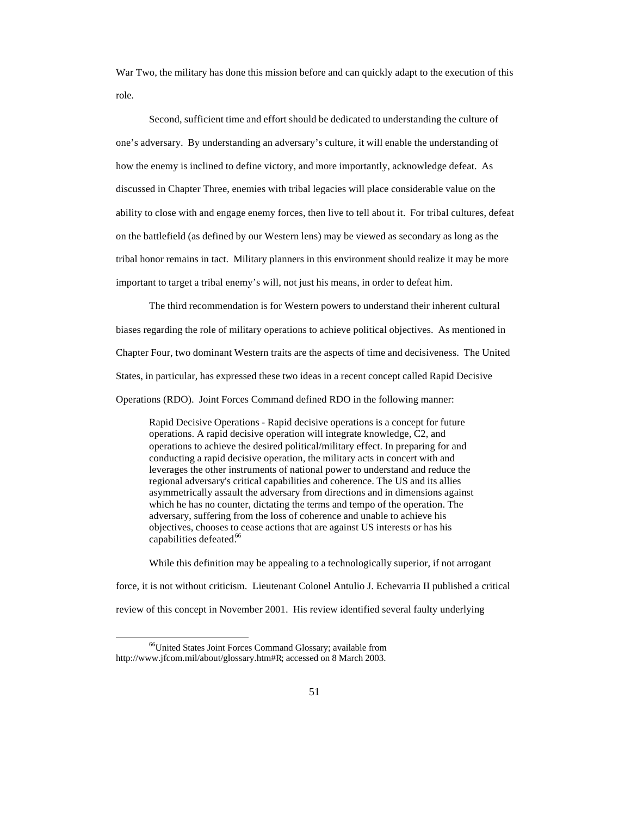War Two, the military has done this mission before and can quickly adapt to the execution of this role.

Second, sufficient time and effort should be dedicated to understanding the culture of one's adversary. By understanding an adversary's culture, it will enable the understanding of how the enemy is inclined to define victory, and more importantly, acknowledge defeat. As discussed in Chapter Three, enemies with tribal legacies will place considerable value on the ability to close with and engage enemy forces, then live to tell about it. For tribal cultures, defeat on the battlefield (as defined by our Western lens) may be viewed as secondary as long as the tribal honor remains in tact. Military planners in this environment should realize it may be more important to target a tribal enemy's will, not just his means, in order to defeat him.

The third recommendation is for Western powers to understand their inherent cultural biases regarding the role of military operations to achieve political objectives. As mentioned in Chapter Four, two dominant Western traits are the aspects of time and decisiveness. The United States, in particular, has expressed these two ideas in a recent concept called Rapid Decisive Operations (RDO). Joint Forces Command defined RDO in the following manner:

Rapid Decisive Operations - Rapid decisive operations is a concept for future operations. A rapid decisive operation will integrate knowledge, C2, and operations to achieve the desired political/military effect. In preparing for and conducting a rapid decisive operation, the military acts in concert with and leverages the other instruments of national power to understand and reduce the regional adversary's critical capabilities and coherence. The US and its allies asymmetrically assault the adversary from directions and in dimensions against which he has no counter, dictating the terms and tempo of the operation. The adversary, suffering from the loss of coherence and unable to achieve his objectives, chooses to cease actions that are against US interests or has his capabilities defeated.<sup>66</sup>

While this definition may be appealing to a technologically superior, if not arrogant force, it is not without criticism. Lieutenant Colonel Antulio J. Echevarria II published a critical review of this concept in November 2001. His review identified several faulty underlying

<sup>66</sup>United States Joint Forces Command Glossary; available from http://www.jfcom.mil/about/glossary.htm#R; accessed on 8 March 2003.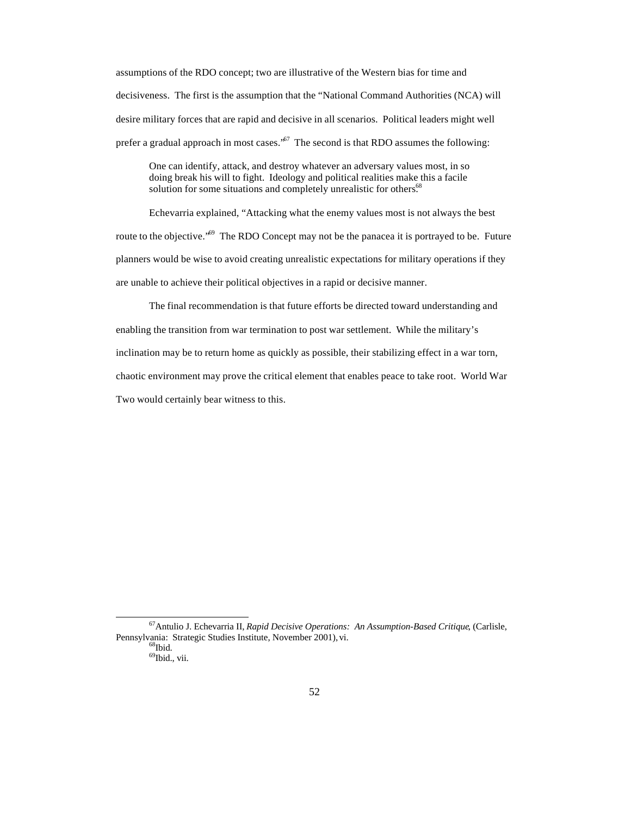assumptions of the RDO concept; two are illustrative of the Western bias for time and decisiveness. The first is the assumption that the "National Command Authorities (NCA) will desire military forces that are rapid and decisive in all scenarios. Political leaders might well prefer a gradual approach in most cases.<sup>57</sup> The second is that RDO assumes the following:

One can identify, attack, and destroy whatever an adversary values most, in so doing break his will to fight. Ideology and political realities make this a facile solution for some situations and completely unrealistic for others.<sup>68</sup>

Echevarria explained, "Attacking what the enemy values most is not always the best route to the objective.<sup> $.69$ </sup> The RDO Concept may not be the panacea it is portrayed to be. Future planners would be wise to avoid creating unrealistic expectations for military operations if they are unable to achieve their political objectives in a rapid or decisive manner.

The final recommendation is that future efforts be directed toward understanding and enabling the transition from war termination to post war settlement. While the military's inclination may be to return home as quickly as possible, their stabilizing effect in a war torn, chaotic environment may prove the critical element that enables peace to take root. World War Two would certainly bear witness to this.

<sup>67</sup>Antulio J. Echevarria II, *Rapid Decisive Operations: An Assumption-Based Critique*, (Carlisle, Pennsylvania: Strategic Studies Institute, November 2001), vi.  $68$ Ibid.

<sup>&</sup>lt;sup>69</sup>Ibid., vii.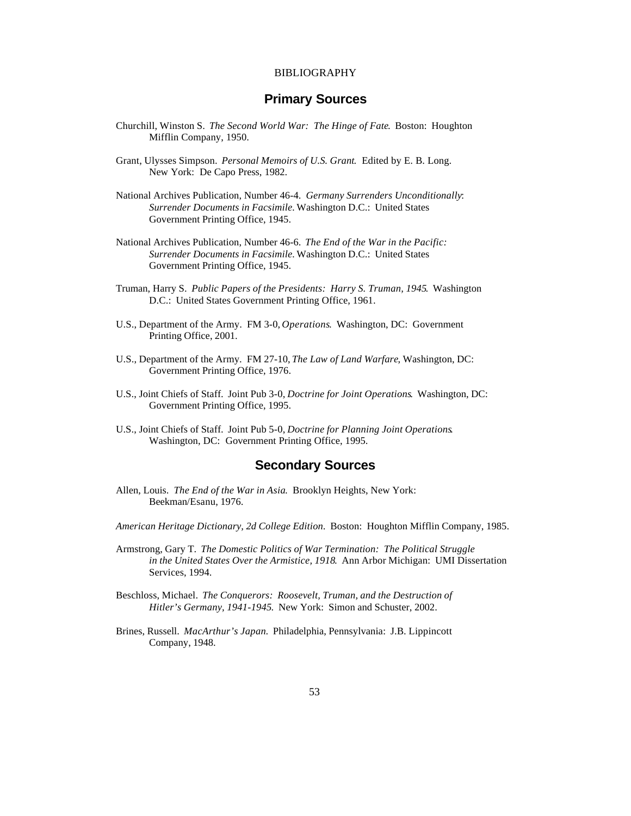### BIBLIOGRAPHY

# **Primary Sources**

- Churchill, Winston S. *The Second World War: The Hinge of Fate*. Boston: Houghton Mifflin Company, 1950.
- Grant, Ulysses Simpson. *Personal Memoirs of U.S. Grant*. Edited by E. B. Long. New York: De Capo Press, 1982.
- National Archives Publication, Number 46-4. *Germany Surrenders Unconditionally*: *Surrender Documents in Facsimile.* Washington D.C.: United States Government Printing Office, 1945.
- National Archives Publication, Number 46-6. *The End of the War in the Pacific: Surrender Documents in Facsimile.* Washington D.C.: United States Government Printing Office, 1945.
- Truman, Harry S. *Public Papers of the Presidents: Harry S. Truman, 1945*. Washington D.C.: United States Government Printing Office, 1961.
- U.S., Department of the Army. FM 3-0, *Operations*. Washington, DC: Government Printing Office, 2001.
- U.S., Department of the Army. FM 27-10, *The Law of Land Warfare*, Washington, DC: Government Printing Office, 1976.
- U.S., Joint Chiefs of Staff. Joint Pub 3-0, *Doctrine for Joint Operations*. Washington, DC: Government Printing Office, 1995.
- U.S., Joint Chiefs of Staff. Joint Pub 5-0, *Doctrine for Planning Joint Operations*. Washington, DC: Government Printing Office, 1995.

# **Secondary Sources**

- Allen, Louis. *The End of the War in Asia*. Brooklyn Heights, New York: Beekman/Esanu, 1976.
- *American Heritage Dictionary, 2d College Edition*. Boston: Houghton Mifflin Company, 1985.
- Armstrong, Gary T. *The Domestic Politics of War Termination: The Political Struggle in the United States Over the Armistice, 1918*. Ann Arbor Michigan: UMI Dissertation Services, 1994.
- Beschloss, Michael. *The Conquerors: Roosevelt, Truman, and the Destruction of Hitler's Germany, 1941-1945*. New York: Simon and Schuster, 2002.
- Brines, Russell. *MacArthur's Japan*. Philadelphia, Pennsylvania: J.B. Lippincott Company, 1948.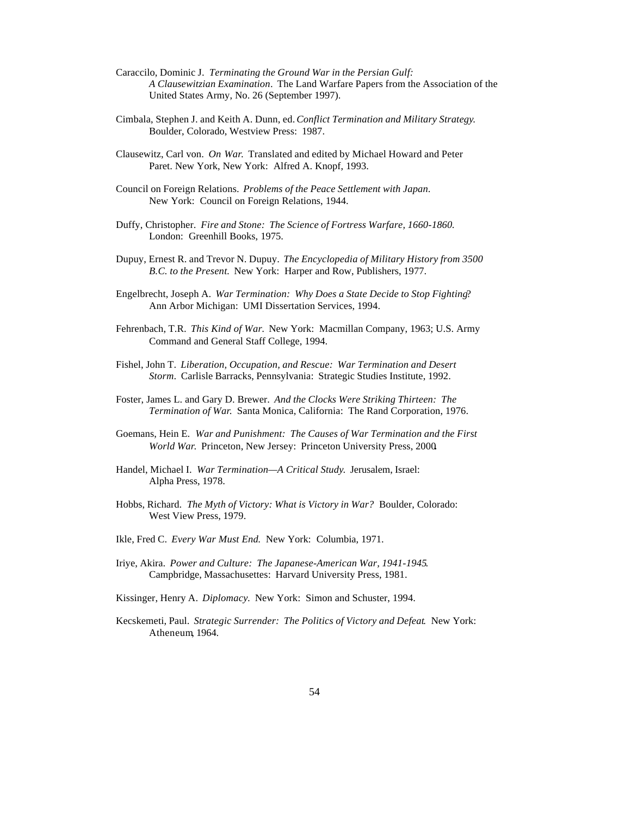- Caraccilo, Dominic J. *Terminating the Ground War in the Persian Gulf: A Clausewitzian Examination*. The Land Warfare Papers from the Association of the United States Army, No. 26 (September 1997).
- Cimbala, Stephen J. and Keith A. Dunn, ed. *Conflict Termination and Military Strategy*. Boulder, Colorado, Westview Press: 1987.
- Clausewitz, Carl von. *On War*. Translated and edited by Michael Howard and Peter Paret. New York, New York: Alfred A. Knopf, 1993.
- Council on Foreign Relations. *Problems of the Peace Settlement with Japan*. New York: Council on Foreign Relations, 1944.
- Duffy, Christopher. *Fire and Stone: The Science of Fortress Warfare, 1660-1860*. London: Greenhill Books, 1975.
- Dupuy, Ernest R. and Trevor N. Dupuy. *The Encyclopedia of Military History from 3500 B.C. to the Present.* New York: Harper and Row, Publishers, 1977.
- Engelbrecht, Joseph A. *War Termination: Why Does a State Decide to Stop Fighting*? Ann Arbor Michigan: UMI Dissertation Services, 1994.
- Fehrenbach, T.R. *This Kind of War.* New York: Macmillan Company, 1963; U.S. Army Command and General Staff College, 1994.
- Fishel, John T. *Liberation, Occupation, and Rescue: War Termination and Desert Storm*. Carlisle Barracks, Pennsylvania: Strategic Studies Institute, 1992.
- Foster, James L. and Gary D. Brewer. *And the Clocks Were Striking Thirteen: The Termination of War*. Santa Monica, California: The Rand Corporation, 1976.
- Goemans, Hein E. *War and Punishment: The Causes of War Termination and the First World War*. Princeton, New Jersey: Princeton University Press, 2000**.**
- Handel, Michael I. *War Termination—A Critical Study*. Jerusalem, Israel: Alpha Press, 1978.
- Hobbs, Richard. *The Myth of Victory: What is Victory in War?* Boulder, Colorado: West View Press, 1979.
- Ikle, Fred C. *Every War Must End*. New York: Columbia, 1971.
- Iriye, Akira. *Power and Culture: The Japanese-American War, 1941-1945*. Campbridge, Massachusettes: Harvard University Press, 1981.
- Kissinger, Henry A. *Diplomacy.* New York: Simon and Schuster, 1994.
- Kecskemeti, Paul. *Strategic Surrender: The Politics of Victory and Defeat*. New York: Atheneum, 1964.